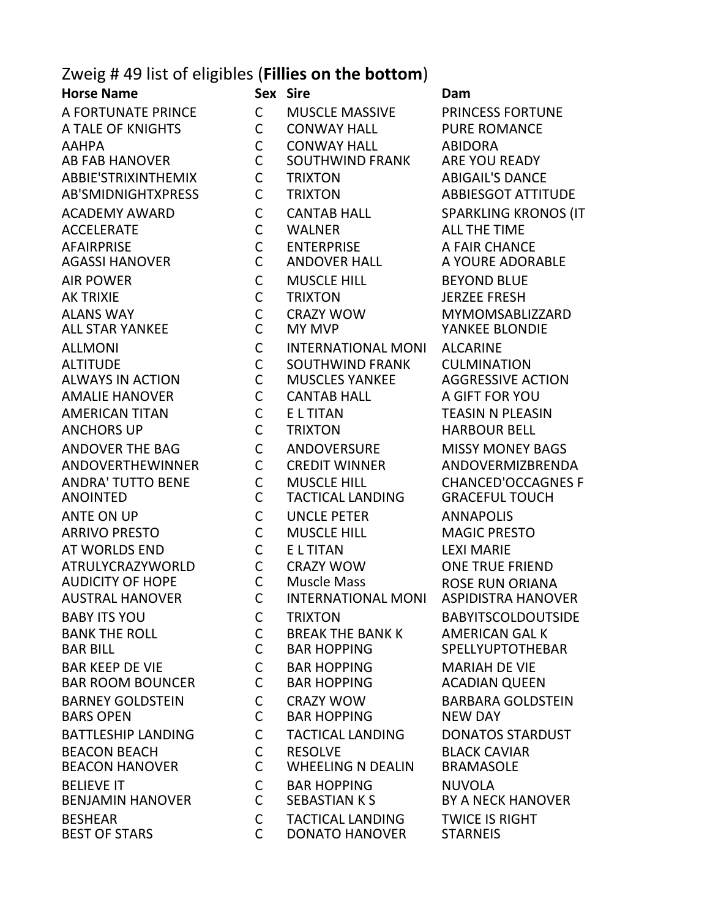## Zweig # 49 list of eligibles (**Fillies on the bottom**)

**Horse Name Sex Sire Dam** A FORTUNATE PRINCE C MUSCLE MASSIVE PRINCESS FORTUNE A TALE OF KNIGHTS C CONWAY HALL PURE ROMANCE AAHPA C CONWAY HALL ABIDORA AB FAB HANOVER C SOUTHWIND FRANK ARE YOU READY ABBIE'STRIXINTHEMIX C TRIXTON ABIGAIL'S DANCE AB'SMIDNIGHTXPRESS C TRIXTON ABBIESGOT ATTITUDE ACADEMY AWARD C CANTAB HALL SPARKLING KRONOS (IT ACCELERATE C WALNER ALL THE TIME AFAIRPRISE C ENTERPRISE A FAIR CHANCE AGASSI HANOVER C ANDOVER HALL A YOURE ADORABLE AIR POWER C MUSCLE HILL BEYOND BLUE AK TRIXIE C TRIXTON JERZEE FRESH ALANS WAY C CRAZY WOW MYMOMSABLIZZARD ALL STAR YANKEE C MY MVP YANKEE BLONDIE ALLMONI C INTERNATIONAL MONI ALCARINE ALTITUDE C SOUTHWIND FRANK CULMINATION ALWAYS IN ACTION C MUSCLES YANKEE AGGRESSIVE ACTION AMALIE HANOVER C CANTAB HALL A GIFT FOR YOU AMERICAN TITAN C E L TITAN TEASIN N PLEASIN ANCHORS UP C TRIXTON HARBOUR BELL ANDOVER THE BAG C ANDOVERSURE MISSY MONEY BAGS ANDOVERTHEWINNER C CREDIT WINNER ANDOVERMIZBRENDA ANDRA' TUTTO BENE C MUSCLE HILL CHANCED'OCCAGNES F ANOINTED C TACTICAL LANDING GRACEFUL TOUCH ANTE ON UP C UNCLE PETER ANNAPOLIS ARRIVO PRESTO C MUSCLE HILL MAGIC PRESTO AT WORLDS END C E L TITAN LEXI MARIE ATRULYCRAZYWORLD C CRAZY WOW ONE TRUE FRIEND AUDICITY OF HOPE C Muscle Mass ROSE RUN ORIANA INTERNATIONAL MONI BABY ITS YOU C TRIXTON BABYITSCOLDOUTSIDE BANK THE ROLL C BREAK THE BANK K AMERICAN GAL K BAR KEEP DE VIE COMING BAR HOPPING MARIAH DE VIE BAR ROOM BOUNCER C BAR HOPPING ACADIAN QUEEN BARNEY GOLDSTEIN C CRAZY WOW BARBARA GOLDSTEIN BARS OPEN C BAR HOPPING NEW DAY BATTLESHIP LANDING C TACTICAL LANDING DONATOS STARDUST BEACON BEACH C RESOLVE BLACK CAVIAR BEACON HANOVER C WHEELING N DEALIN BRAMASOLE BELIEVE IT C BAR HOPPING NUVOLA SEBASTIAN K S
BERASTIAN K S BESHEAR C TACTICAL LANDING TWICE IS RIGHT DONATO HANOVER STARNEIS

SPELLYUPTOTHEBAR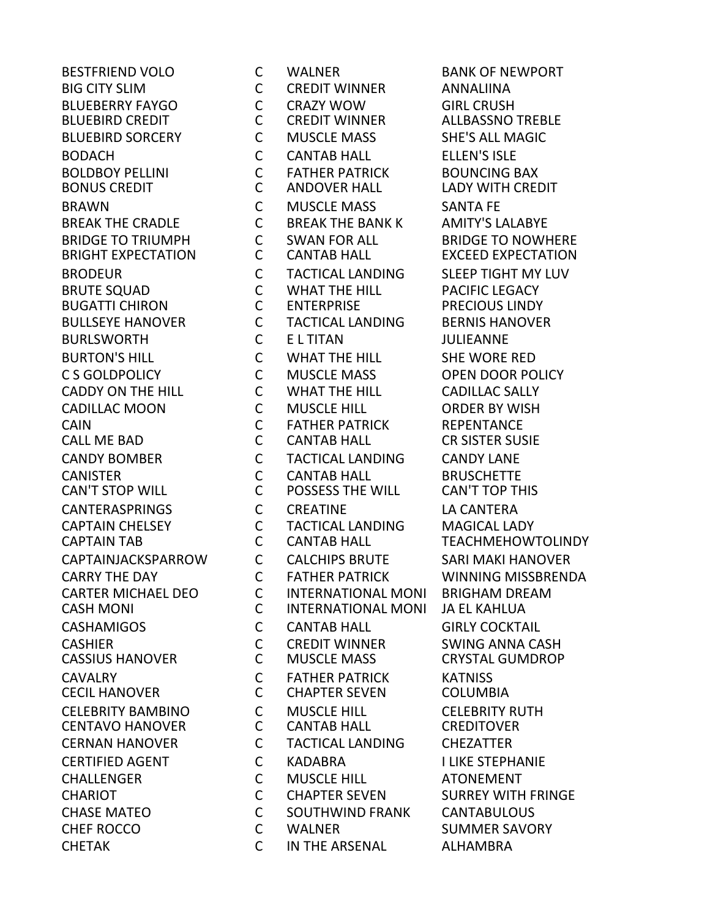**BUGATTI CHIRON CENTAVO HANOVER** 

BESTFRIEND VOLO C WALNER BANK OF NEWPORT BIG CITY SLIM C CREDIT WINNER ANNALIINA BLUEBERRY FAYGO C CRAZY WOW GIRL CRUSH BLUEBIRD SORCERY C MUSCLE MASS SHE'S ALL MAGIC BODACH C CANTAB HALL ELLEN'S ISLE BOLDBOY PELLINI C FATHER PATRICK BOUNCING BAX BONUS CREDIT C ANDOVER HALL LADY WITH CREDIT BRAWN C MUSCLE MASS SANTA FE BREAK THE CRADLE C BREAK THE BANK K AMITY'S LALABYE BRIDGE TO TRIUMPH C SWAN FOR ALL BRIDGE TO NOWHERE BRODEUR C TACTICAL LANDING SLEEP TIGHT MY LUV BRUTE SQUAD C WHAT THE HILL PACIFIC LEGACY BULLSEYE HANOVER C TACTICAL LANDING BERNIS HANOVER BURLSWORTH C E L TITAN JULIEANNE BURTON'S HILL C WHAT THE HILL SHE WORE RED C S GOLDPOLICY C MUSCLE MASS OPEN DOOR POLICY CADDY ON THE HILL C WHAT THE HILL CADILLAC SALLY CADILLAC MOON C MUSCLE HILL ORDER BY WISH CAIN C FATHER PATRICK REPENTANCE CALL ME BAD C CANTAB HALL CR SISTER SUSIE CANDY BOMBER C TACTICAL LANDING CANDY LANE CANISTER C CANTAB HALL BRUSCHETTE POSSESS THE WILL CANTERASPRINGS C CREATINE LA CANTERA CAPTAIN CHELSEY C TACTICAL LANDING MAGICAL LADY CAPTAIN TAB C CANTAB HALL TEACHMEHOWTOLINDY CAPTAINJACKSPARROW C CALCHIPS BRUTE SARI MAKI HANOVER CARRY THE DAY C FATHER PATRICK WINNING MISSBRENDA CARTER MICHAEL DEO C INTERNATIONAL MONI BRIGHAM DREAM CASH MONI C INTERNATIONAL MONI JA EL KAHLUA CASHAMIGOS C CANTAB HALL GIRLY COCKTAIL CASHIER C CREDIT WINNER SWING ANNA CASH CASSIUS HANOVER C MUSCLE MASS CRYSTAL GUMDROP CAVALRY C FATHER PATRICK KATNISS CECIL HANOVER C CHAPTER SEVEN COLUMBIA CELEBRITY BAMBINO C MUSCLE HILL CELEBRITY RUTH CERNAN HANOVER C TACTICAL LANDING CHEZATTER CERTIFIED AGENT C KADABRA I LIKE STEPHANIE CHALLENGER C MUSCLE HILL ATONEMENT CHARIOT C CHAPTER SEVEN SURREY WITH FRINGE CHASE MATEO C SOUTHWIND FRANK CANTABULOUS CHEF ROCCO C WALNER SUMMER SAVORY CHETAK C IN THE ARSENAL ALHAMBRA

**ALLBASSNO TREBLE EXCEED EXPECTATION**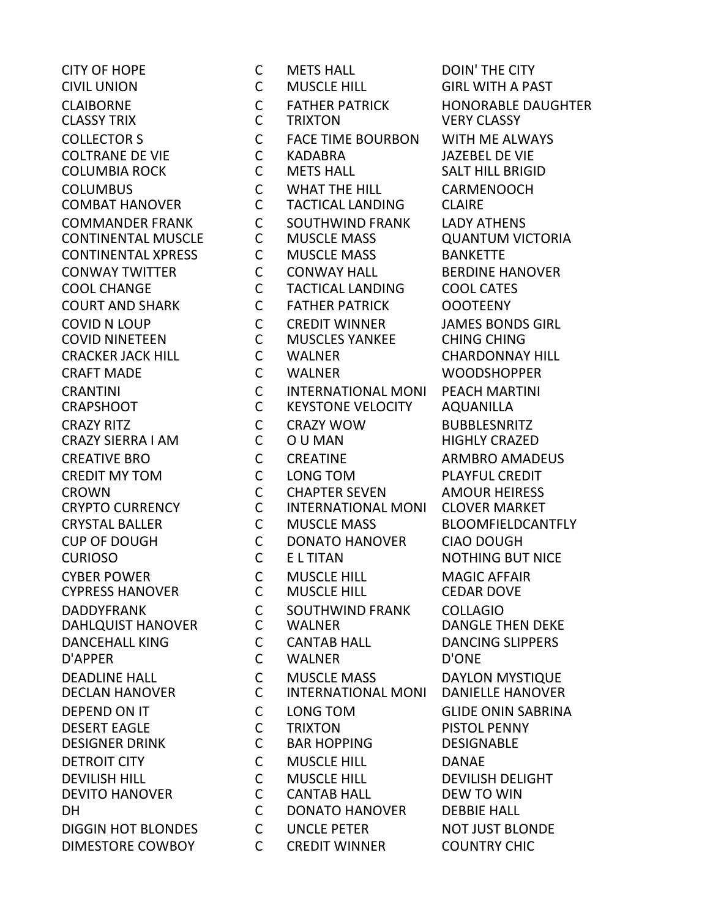**COLUMBIA ROCK CYPRESS HANOVER** DAHLQUIST HANOVER

CITY OF HOPE C METS HALL DOIN' THE CITY CIVIL UNION C MUSCLE HILL GIRL WITH A PAST CLAIBORNE C FATHER PATRICK HONORABLE DAUGHTER COLLECTOR S C FACE TIME BOURBON WITH ME ALWAYS COLTRANE DE VIE C KADABRA JAZEBEL DE VIE COLUMBUS C WHAT THE HILL CARMENOOCH COMBAT HANOVER C TACTICAL LANDING CLAIRE COMMANDER FRANK C SOUTHWIND FRANK LADY ATHENS<br>CONTINENTAL MUSCLE C MUSCLE MASS QUANTUM VIO CONTINENTAL MUSCLE C MUSCLE MASS QUANTUM VICTORIA CONTINENTAL XPRESS C MUSCLE MASS BANKETTE CONWAY TWITTER C CONWAY HALL BERDINE HANOVER COOL CHANGE C TACTICAL LANDING COOL CATES COURT AND SHARK C FATHER PATRICK OOOTEENY COVID N LOUP C CREDIT WINNER JAMES BONDS GIRL COVID NINETEEN C MUSCLES YANKEE CHING CHING CRACKER JACK HILL C WALNER CHARDONNAY HILL CRAFT MADE C WALNER WOODSHOPPER CRANTINI C INTERNATIONAL MONI PEACH MARTINI CRAPSHOOT C KEYSTONE VELOCITY AQUANILLA CRAZY RITZ C CRAZY WOW BUBBLESNRITZ CRAZY SIERRA I AM C O U MAN HIGHLY CRAZED CREATIVE BRO CONSTRUCTION CONTRACTIVE BROWN CONTRACTIVE ARMBRO AMADEUS CREDIT MY TOM C LONG TOM PLAYFUL CREDIT CROWN C CHAPTER SEVEN AMOUR HEIRESS CRYPTO CURRENCY C INTERNATIONAL MONI CLOVER MARKET CRYSTAL BALLER C MUSCLE MASS BLOOMFIELDCANTFLY CUP OF DOUGH C DONATO HANOVER CIAO DOUGH CURIOSO C E L TITAN NOTHING BUT NICE CYBER POWER C MUSCLE HILL MAGIC AFFAIR DADDYFRANK C SOUTHWIND FRANK COLLAGIO DANCEHALL KING C CANTAB HALL DANCING SLIPPERS D'APPER C WALNER D'ONE DEADLINE HALL **C** MUSCLE MASS DAYLON MYSTIQUE DECLAN HANOVER C INTERNATIONAL MONI DANIELLE HANOVER DEPEND ON IT C LONG TOM GLIDE ONIN SABRINA DESERT EAGLE C TRIXTON PISTOL PENNY DESIGNER DRINK C BAR HOPPING DESIGNABLE DETROIT CITY **C** MUSCLE HILL **DANAE** DEVILISH HILL C MUSCLE HILL DEVILISH DELIGHT DEVITO HANOVER C CANTAB HALL DEW TO WIN DH C DONATO HANOVER DEBBIE HALL DIGGIN HOT BLONDES C UNCLE PETER NOT JUST BLONDE DIMESTORE COWBOY C CREDIT WINNER COUNTRY CHIC

**VERY CLASSY**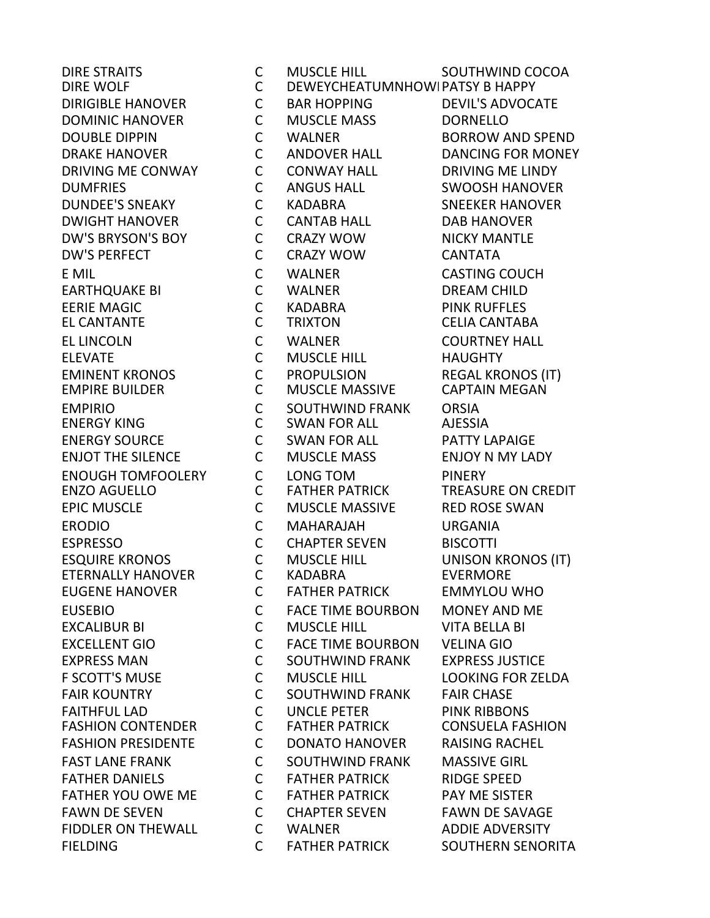**FASHION CONTENDER** 

DIRE STRAITS C MUSCLE HILL SOUTHWIND COCOA DIRE WOLF **CONSCRUTE CONTRACT CONTRACTS AND ACCORD** DIRE WOLF AND RESERVE DIRIGIBLE HANOVER C BAR HOPPING DEVIL'S ADVOCATE DOMINIC HANOVER C MUSCLE MASS DORNELLO DOUBLE DIPPIN C WALNER BORROW AND SPEND DRAKE HANOVER C ANDOVER HALL DANCING FOR MONEY DRIVING ME CONWAY C CONWAY HALL DRIVING ME LINDY DUMFRIES C ANGUS HALL SWOOSH HANOVER DUNDEE'S SNEAKY C KADABRA SNEEKER HANOVER DWIGHT HANOVER C CANTAB HALL DAB HANOVER DW'S BRYSON'S BOY C CRAZY WOW NICKY MANTLE DW'S PERFECT C CRAZY WOW CANTATA E MIL C WALNER CASTING COUCH EARTHQUAKE BI C WALNER DREAM CHILD EERIE MAGIC C KADABRA PINK RUFFLES EL CANTANTE C TRIXTON CELIA CANTABA EL LINCOLN C WALNER COURTNEY HALL ELEVATE C MUSCLE HILL HAUGHTY EMINENT KRONOS C PROPULSION REGAL KRONOS (IT) **MUSCLE MASSIVE** EMPIRIO C SOUTHWIND FRANK ORSIA ENERGY KING C SWAN FOR ALL AJESSIA ENERGY SOURCE C SWAN FOR ALL PATTY LAPAIGE ENJOT THE SILENCE C MUSCLE MASS ENJOY N MY LADY ENOUGH TOMFOOLERY C LONG TOM PINERY<br>ENZO AGUELLO C FATHER PATRICK TREASU ENZO AGUELLO C FATHER PATRICK TREASURE ON CREDIT EPIC MUSCLE C MUSCLE MASSIVE RED ROSE SWAN ERODIO C MAHARAJAH URGANIA ESPRESSO C CHAPTER SEVEN BISCOTTI ESQUIRE KRONOS C MUSCLE HILL UNISON KRONOS (IT) ETERNALLY HANOVER C KADABRA EVERMORE EUGENE HANOVER C FATHER PATRICK EMMYLOU WHO EUSEBIO C FACE TIME BOURBON MONEY AND ME EXCALIBUR BI C MUSCLE HILL VITA BELLA BI EXCELLENT GIO C FACE TIME BOURBON VELINA GIO EXPRESS MAN C SOUTHWIND FRANK EXPRESS JUSTICE F SCOTT'S MUSE C MUSCLE HILL LOOKING FOR ZELDA FAIR KOUNTRY C SOUTHWIND FRANK FAIR CHASE FAITHFUL LAD C UNCLE PETER PINK RIBBONS FASHION PRESIDENTE C DONATO HANOVER RAISING RACHEL FAST LANE FRANK C SOUTHWIND FRANK MASSIVE GIRL FATHER DANIELS C FATHER PATRICK RIDGE SPEED FATHER YOU OWE ME C FATHER PATRICK PAY ME SISTER FAWN DE SEVEN C CHAPTER SEVEN FAWN DE SAVAGE FIDDLER ON THEWALL C WALNER ADDIE ADVERSITY FIELDING C FATHER PATRICK SOUTHERN SENORITA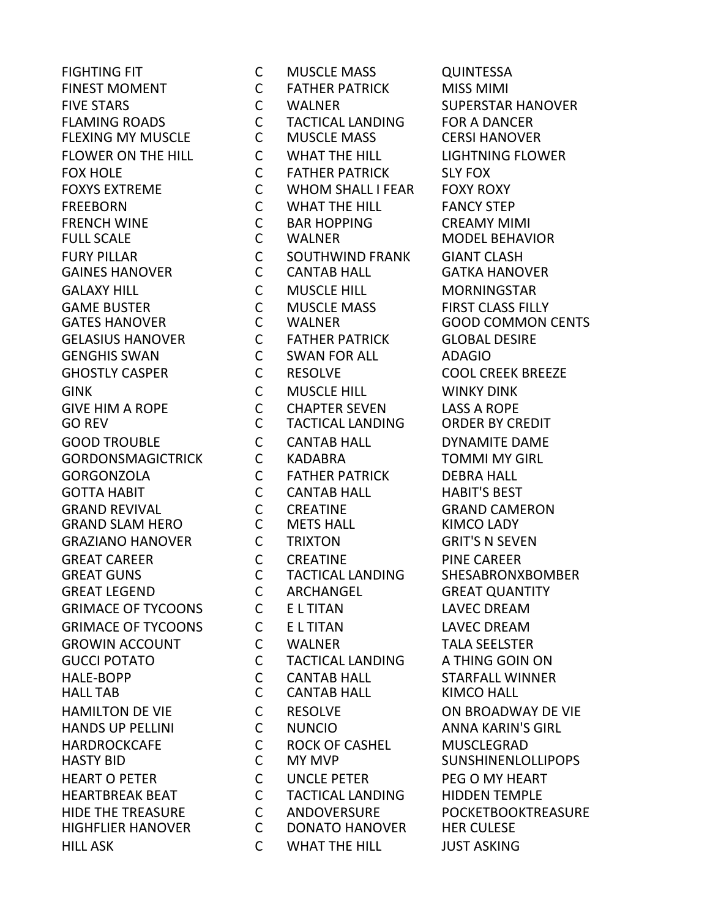HILL ASK C WHAT THE HILL JUST ASKING

FIGHTING FIT C MUSCLE MASS QUINTESSA FINEST MOMENT **C** FATHER PATRICK MISS MIMI FIVE STARS C WALNER SUPERSTAR HANOVER FLAMING ROADS C TACTICAL LANDING FOR A DANCER FLEXING MY MUSCLE C MUSCLE MASS CERSI HANOVER FLOWER ON THE HILL C WHAT THE HILL LIGHTNING FLOWER FOX HOLE **C** FATHER PATRICK SLY FOX FOXYS EXTREME C WHOM SHALL I FEAR FOXY ROXY FREEBORN C WHAT THE HILL FANCY STEP FRENCH WINE C BAR HOPPING CREAMY MIMI FULL SCALE C WALNER MODEL BEHAVIOR FURY PILLAR C SOUTHWIND FRANK GIANT CLASH GAINES HANOVER C CANTAB HALL GATKA HANOVER GALAXY HILL C MUSCLE HILL MORNINGSTAR GAME BUSTER C MUSCLE MASS FIRST CLASS FILLY GATES HANOVER C WALNER GOOD COMMON CENTS GELASIUS HANOVER C FATHER PATRICK GLOBAL DESIRE GENGHIS SWAN C SWAN FOR ALL ADAGIO GHOSTLY CASPER 
and  $C$  RESOLVE  $C$  and  $C$  and  $C$  and  $C$  and  $C$  and  $C$  and  $C$  and  $C$  and  $C$  and  $C$  and  $C$  and  $C$  and  $C$  and  $C$  and  $C$  and  $C$  and  $C$  and  $C$  and  $C$  and  $C$  and  $C$  and  $C$  and  $C$  and  $C$  a GINK C MUSCLE HILL WINKY DINK GIVE HIM A ROPE C CHAPTER SEVEN LASS A ROPE GO REV C TACTICAL LANDING ORDER BY CREDIT GOOD TROUBLE C CANTAB HALL DYNAMITE DAME GORDONSMAGICTRICK C KADABRA TOMMI MY GIRL GORGONZOLA C FATHER PATRICK DEBRA HALL GOTTA HABIT C CANTAB HALL HABIT'S BEST GRAND REVIVAL C CREATINE GRAND CAMERON GRAND SLAM HERO C METS HALL KIMCO LADY GRAZIANO HANOVER C TRIXTON GRIT'S N SEVEN GREAT CAREER C CREATINE PINE CAREER GREAT LEGEND C ARCHANGEL GREAT QUANTITY GRIMACE OF TYCOONS CELTITAN LAVEC DREAM GRIMACE OF TYCOONS C E L TITAN LAVEC DREAM GROWIN ACCOUNT C WALNER TALA SEELSTER GUCCI POTATO C TACTICAL LANDING A THING GOIN ON HALE-BOPP C CANTAB HALL STARFALL WINNER HALL TAB C CANTAB HALL KIMCO HALL HAMILTON DE VIE C RESOLVE ON BROADWAY DE VIE HANDS UP PELLINI C NUNCIO ANNA KARIN'S GIRL HARDROCKCAFE C ROCK OF CASHEL MUSCLEGRAD HEART O PETER C UNCLE PETER PEG O MY HEART HEARTBREAK BEAT C TACTICAL LANDING HIDDEN TEMPLE HIDE THE TREASURE C ANDOVERSURE POCKETBOOKTREASURE HIGHFLIER HANOVER C DONATO HANOVER HER CULESE

TACTICAL LANDING SHESABRONXBOMBER **SUNSHINENLOLLIPOPS**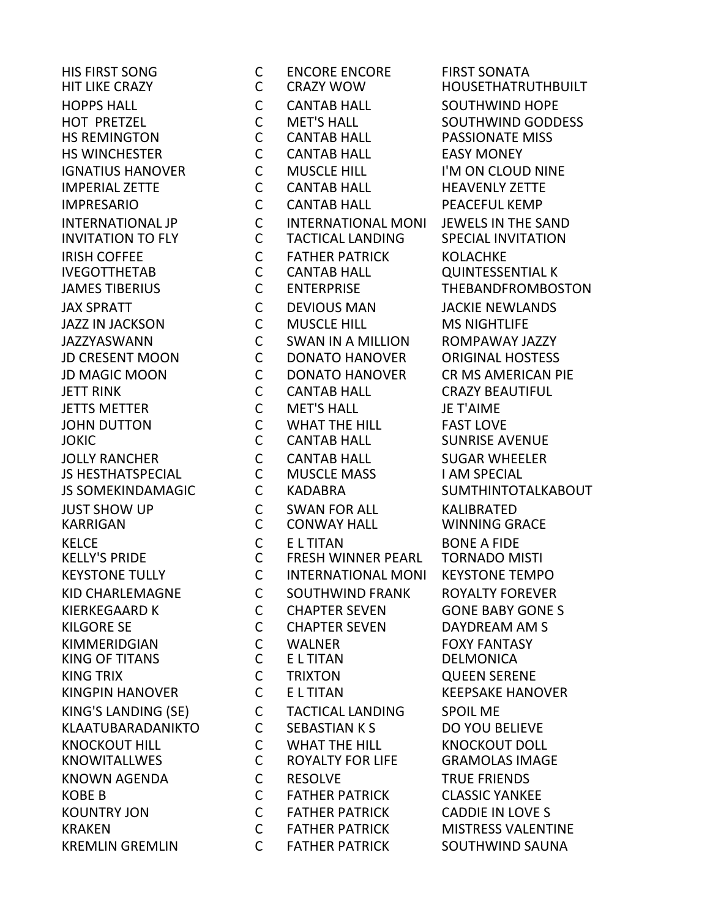HIS FIRST SONG C ENCORE ENCORE FIRST SONATA HIT LIKE CRAZY C CRAZY WOW HOUSETHATRUTHBUILT HOPPS HALL C CANTAB HALL SOUTHWIND HOPE HOT PRETZEL C MET'S HALL SOUTHWIND GODDESS HS REMINGTON C CANTAB HALL PASSIONATE MISS HS WINCHESTER C CANTAB HALL EASY MONEY IGNATIUS HANOVER C MUSCLE HILL I'M ON CLOUD NINE IMPERIAL ZETTE C CANTAB HALL HEAVENLY ZETTE IMPRESARIO C CANTAB HALL PEACEFUL KEMP INTERNATIONAL JP C INTERNATIONAL MONI JEWELS IN THE SAND INVITATION TO FLY C TACTICAL LANDING SPECIAL INVITATION IRISH COFFEE C FATHER PATRICK KOLACHKE IVEGOTTHETAB C CANTAB HALL QUINTESSENTIAL K JAMES TIBERIUS C ENTERPRISE THEBANDFROMBOSTON JAX SPRATT C DEVIOUS MAN JACKIE NEWLANDS JAZZ IN JACKSON C MUSCLE HILL MS NIGHTLIFE JAZZYASWANN C SWAN IN A MILLION ROMPAWAY JAZZY JD CRESENT MOON C DONATO HANOVER ORIGINAL HOSTESS JD MAGIC MOON C DONATO HANOVER CR MS AMERICAN PIE JETT RINK CONTAB HALL CRAZY BEAUTIFUL JETTS METTER C MET'S HALL JE T'AIME JOHN DUTTON C WHAT THE HILL FAST LOVE JOKIC C CANTAB HALL SUNRISE AVENUE JOLLY RANCHER **COMITAB HALL** SUGAR WHEELER JS HESTHATSPECIAL C MUSCLE MASS I AM SPECIAL JS SOMEKINDAMAGIC C KADABRA SUMTHINTOTALKABOUT JUST SHOW UP C SWAN FOR ALL KALIBRATED KARRIGAN C CONWAY HALL WINNING GRACE KELCE C E L TITAN BONE A FIDE KELLY'S PRIDE C FRESH WINNER PEARL TORNADO MISTI KEYSTONE TULLY C INTERNATIONAL MONI KEYSTONE TEMPO KID CHARLEMAGNE C SOUTHWIND FRANK ROYALTY FOREVER KIERKEGAARD K C CHAPTER SEVEN GONE BABY GONE S KILGORE SE C CHAPTER SEVEN DAYDREAM AM S KIMMERIDGIAN C WALNER FOXY FANTASY KING OF TITANS C E L TITAN DELMONICA KING TRIX C TRIXTON QUEEN SERENE KINGPIN HANOVER C E L TITAN KEEPSAKE HANOVER KING'S LANDING (SE) C TACTICAL LANDING SPOIL ME KLAATUBARADANIKTO C SEBASTIAN K S DO YOU BELIEVE KNOCKOUT HILL C WHAT THE HILL KNOCKOUT DOLL KNOWITALLWES C ROYALTY FOR LIFE GRAMOLAS IMAGE KNOWN AGENDA C RESOLVE TRUE FRIENDS KOBE B C FATHER PATRICK CLASSIC YANKEE KOUNTRY JON C FATHER PATRICK CADDIE IN LOVE S KRAKEN C FATHER PATRICK MISTRESS VALENTINE KREMLIN GREMLIN C FATHER PATRICK SOUTHWIND SAUNA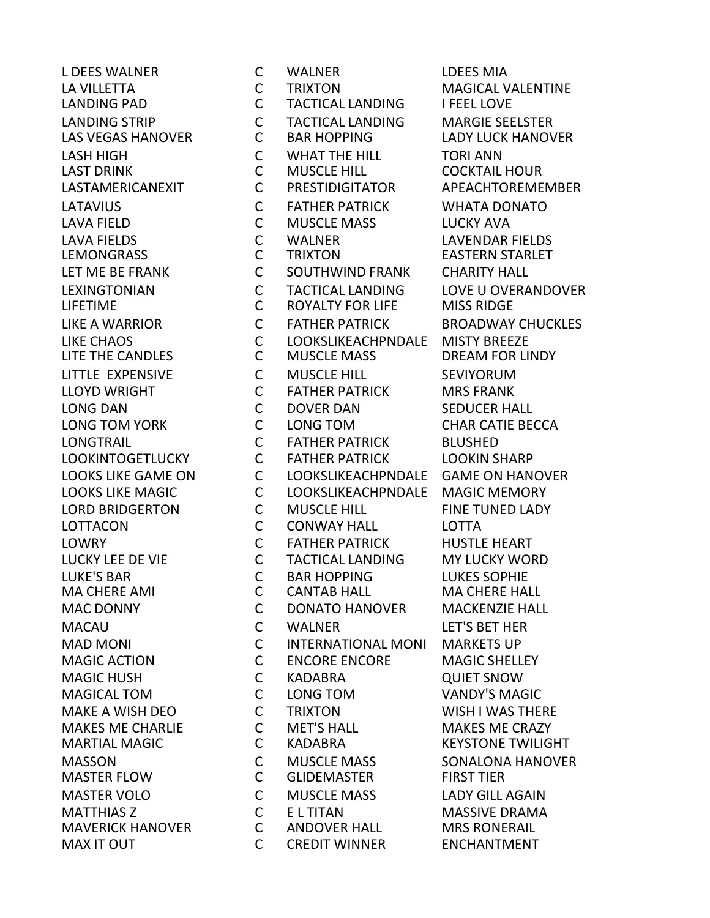L DEES WALNER C WALNER LDEES MIA LA VILLETTA C TRIXTON MAGICAL VALENTINE LANDING PAD C TACTICAL LANDING I FEEL LOVE LANDING STRIP C TACTICAL LANDING MARGIE SEELSTER LAS VEGAS HANOVER C BAR HOPPING LADY LUCK HANOVER LASH HIGH C WHAT THE HILL TORI ANN LASTAMERICANEXIT C PRESTIDIGITATOR APEACHTOREMEMBER LATAVIUS C FATHER PATRICK WHATA DONATO LAVA FIELD C MUSCLE MASS LUCKY AVA LAVA FIELDS C WALNER LAVENDAR FIELDS LET ME BE FRANK C GOUTHWIND FRANK CHARITY HALL LEXINGTONIAN C TACTICAL LANDING LOVE U OVERANDOVER ROYALTY FOR LIFE LIKE A WARRIOR C FATHER PATRICK BROADWAY CHUCKLES LIKE CHAOS C LOOKSLIKEACHPNDALE MISTY BREEZE LITTLE EXPENSIVE C MUSCLE HILL SEVIYORUM LLOYD WRIGHT C FATHER PATRICK MRS FRANK LONG DAN C DOVER DAN SEDUCER HALL LONG TOM YORK C LONG TOM CHAR CATIE BECCA LONGTRAIL C FATHER PATRICK BLUSHED LOOKINTOGETLUCKY C FATHER PATRICK LOOKIN SHARP LOOKS LIKE GAME ON C LOOKSLIKEACHPNDALE GAME ON HANOVER LOOKS LIKE MAGIC C LOOKSLIKEACHPNDALE MAGIC MEMORY LORD BRIDGERTON C MUSCLE HILL FINE TUNED LADY LOTTACON C CONWAY HALL LOTTA LOWRY C FATHER PATRICK HUSTLE HEART LUCKY LEE DE VIE C TACTICAL LANDING MY LUCKY WORD LUKE'S BAR C BAR HOPPING LUKES SOPHIE MAC DONNY C DONATO HANOVER MACKENZIE HALL MACAU C WALNER LET'S BET HER MAD MONI C INTERNATIONAL MONI MARKETS UP MAGIC ACTION C ENCORE ENCORE MAGIC SHELLEY MAGIC HUSH C KADABRA QUIET SNOW MAGICAL TOM C LONG TOM VANDY'S MAGIC MAKE A WISH DEO C TRIXTON WISH I WAS THERE MAKES ME CHARLIE C MET'S HALL MAKES ME CRAZY MARTIAL MAGIC C KADABRA KEYSTONE TWILIGHT MASSON C MUSCLE MASS SONALONA HANOVER MASTER FLOW C GLIDEMASTER FIRST TIER MASTER VOLO C MUSCLE MASS LADY GILL AGAIN MATTHIAS Z C E L TITAN MASSIVE DRAMA MAVERICK HANOVER C ANDOVER HALL MRS RONERAIL MAX IT OUT **CONTAINT CONTAINT CONTAINT CONTAINT CONTAINT CONTAINT CONTAINT CONTAINT CONTAINT CONTAINT CONTAINT** 

**COCKTAIL HOUR EASTERN STARLET** DREAM FOR LINDY **MA CHERE HALL**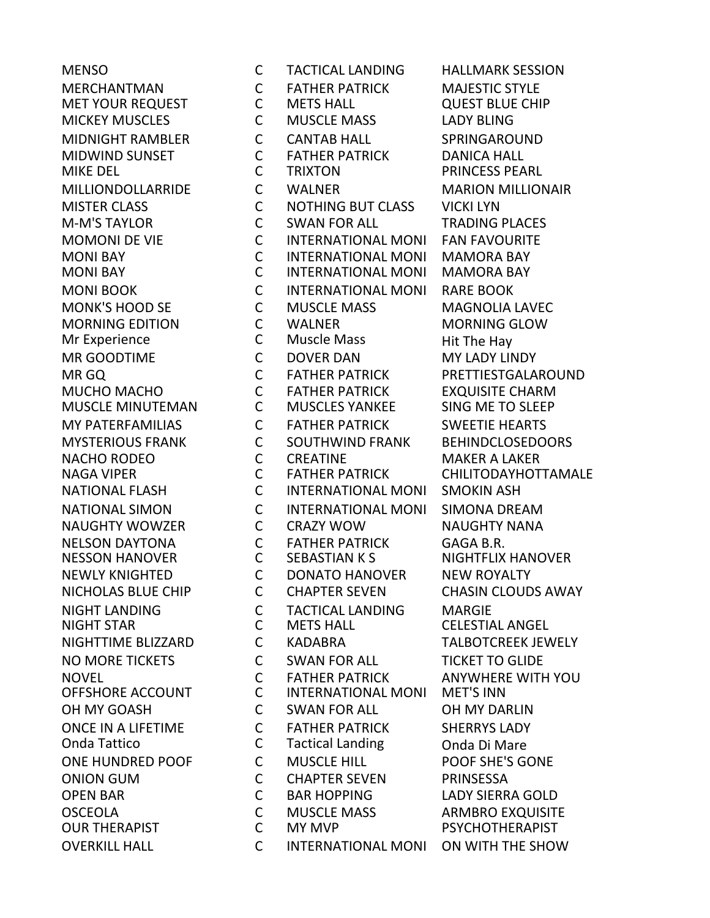MUSCLE MINUTEMAN C MUSCLES YANKEE OVERKILL HALL C INTERNATIONAL MONI ON WITH THE SHOW

MENSO C TACTICAL LANDING HALLMARK SESSION MERCHANTMAN C FATHER PATRICK MAJESTIC STYLE MET YOUR REQUEST C METS HALL QUEST BLUE CHIP MICKEY MUSCLES C MUSCLE MASS LADY BLING MIDNIGHT RAMBLER C CANTAB HALL SPRINGAROUND MIDWIND SUNSET C FATHER PATRICK DANICA HALL MIKE DEL C TRIXTON PRINCESS PEARL MILLIONDOLLARRIDE C WALNER MARION MILLIONAIR MISTER CLASS C NOTHING BUT CLASS VICKI LYN M-M'S TAYLOR C SWAN FOR ALL TRADING PLACES MOMONI DE VIE C INTERNATIONAL MONI FAN FAVOURITE MONI BAY C INTERNATIONAL MONI MAMORA BAY MONI BAY C INTERNATIONAL MONI MAMORA BAY MONI BOOK C INTERNATIONAL MONI RARE BOOK MONK'S HOOD SE C MUSCLE MASS MAGNOLIA LAVEC MORNING EDITION C WALNER MORNING GLOW Mr Experience **C** Muscle Mass Hit The Hay MR GOODTIME C DOVER DAN MY LADY LINDY MR GQ C FATHER PATRICK PRETTIESTGALAROUND MUCHO MACHO C FATHER PATRICK EXQUISITE CHARM MY PATERFAMILIAS C FATHER PATRICK SWEETIE HEARTS MYSTERIOUS FRANK C SOUTHWIND FRANK BEHINDCLOSEDOORS NACHO RODEO CONTRACTINE CONTRACTION MAKER A LAKER NAGA VIPER C FATHER PATRICK CHILITODAYHOTTAMALE NATIONAL FLASH C INTERNATIONAL MONI SMOKIN ASH NATIONAL SIMON C INTERNATIONAL MONI SIMONA DREAM NAUGHTY WOWZER C CRAZY WOW NAUGHTY NANA NELSON DAYTONA C FATHER PATRICK GAGA B.R. NESSON HANOVER C SEBASTIAN K S NIGHTFLIX HANOVER NEWLY KNIGHTED C DONATO HANOVER NEW ROYALTY NICHOLAS BLUE CHIP C CHAPTER SEVEN CHASIN CLOUDS AWAY NIGHT LANDING C TACTICAL LANDING MARGIE NIGHTTIME BLIZZARD C KADABRA TALBOTCREEK JEWELY NO MORE TICKETS C SWAN FOR ALL TICKET TO GLIDE NOVEL C FATHER PATRICK ANYWHERE WITH YOU OFFSHORE ACCOUNT C INTERNATIONAL MONI MET'S INN OH MY GOASH C SWAN FOR ALL OH MY DARLIN ONCE IN A LIFETIME C FATHER PATRICK SHERRYS LADY Onda Tattico C Tactical Landing Onda Di Mare ONE HUNDRED POOF C MUSCLE HILL POOF SHE'S GONE ONION GUM C CHAPTER SEVEN PRINSESSA OPEN BAR C BAR HOPPING LADY SIERRA GOLD OSCEOLA C MUSCLE MASS ARMBRO EXQUISITE C MY MVP PSYCHOTHERAPIST

**CELESTIAL ANGEL**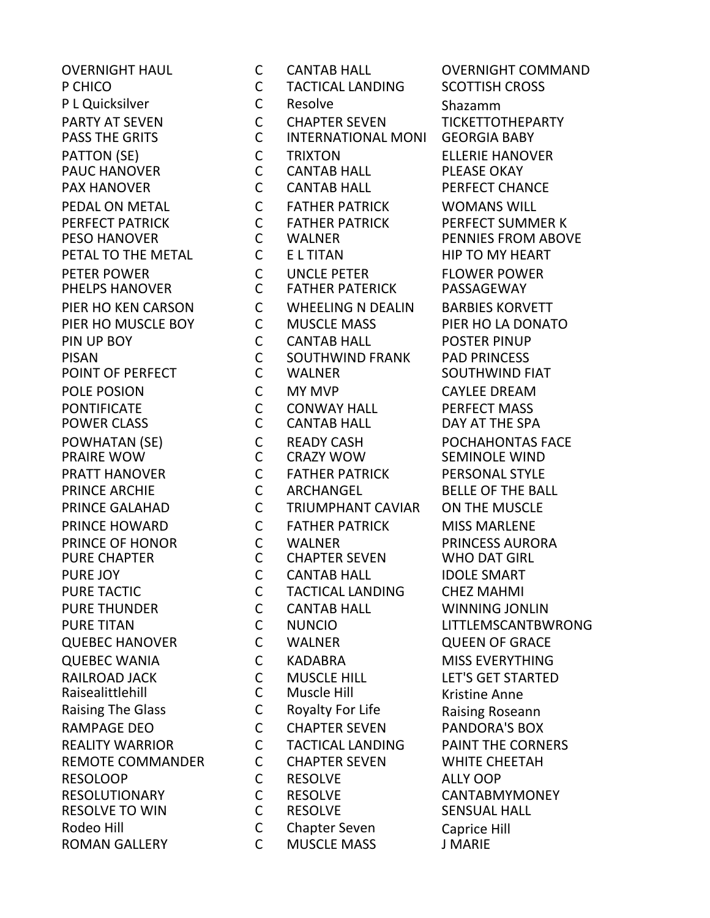**PAUC HANOVER** RESOLVE TO WIN C RESOLVE

OVERNIGHT HAUL C CANTAB HALL OVERNIGHT COMMAND P CHICO C TACTICAL LANDING SCOTTISH CROSS P L Quicksilver C Resolve Shazamm PARTY AT SEVEN C CHAPTER SEVEN TICKETTOTHEPARTY PASS THE GRITS **CONTRESS INTERNATIONAL MONI GEORGIA BABY** PATTON (SE) C TRIXTON ELLERIE HANOVER PAX HANOVER CONTAB HALL PERFECT CHANCE PEDAL ON METAL C FATHER PATRICK WOMANS WILL PERFECT PATRICK C FATHER PATRICK PERFECT SUMMER K PESO HANOVER C WALNER PENNIES FROM ABOVE PETAL TO THE METAL **CULL TO THE METAL** CULL E L TITAN THE HIP TO MY HEART PETER POWER THE CUNCLE PETER FLOWER POWER PHELPS HANOVER **CONTREST CONTREST CONTREST CONTREST PASSAGEWAY** PIER HO KEN CARSON C WHEELING N DEALIN BARBIES KORVETT PIER HO MUSCLE BOY C MUSCLE MASS PIER HO LA DONATO PIN UP BOY CONTAB HALL POSTER PINUP PISAN C SOUTHWIND FRANK PAD PRINCESS POINT OF PERFECT C WALNER SOUTHWIND FIAT POLE POSION C MY MVP CAYLEE DREAM PONTIFICATE C CONWAY HALL PERFECT MASS POWER CLASS **CONTAB HALL** DAY AT THE SPA POWHATAN (SE) C READY CASH POCHAHONTAS FACE CRAZY WOW SEMINOLE WIND PRATT HANOVER C FATHER PATRICK PERSONAL STYLE PRINCE ARCHIE C ARCHANGEL BELLE OF THE BALL PRINCE GALAHAD C TRIUMPHANT CAVIAR ON THE MUSCLE PRINCE HOWARD C FATHER PATRICK MISS MARLENE PRINCE OF HONOR C WALNER PRINCESS AURORA PURE CHAPTER C CHAPTER SEVEN WHO DAT GIRL PURE JOY **CONTAB HALL IDOLE SMART** PURE TACTIC C TACTICAL LANDING CHEZ MAHMI PURE THUNDER C CANTAB HALL WINNING JONLIN PURE TITAN C NUNCIO LITTLEMSCANTBWRONG QUEBEC HANOVER C WALNER QUEEN OF GRACE QUEBEC WANIA **CONTRESS CONTRESS CONTRESS CONTRESS** CONSISTING RAILROAD JACK C MUSCLE HILL LET'S GET STARTED Raisealittlehill C Muscle Hill Kristine Anne Raising The Glass **C** Royalty For Life **Raising Roseann**<br>RAMPAGE DEO C CHAPTER SEVEN PANDORA'S BOX RAMPAGE DEO **COLLECT CONTRAGE CONTRACT CONTRACT CONTRACT CONTRACT PROPER SEVEN PANDORA'S BOX** REALITY WARRIOR C TACTICAL LANDING PAINT THE CORNERS REMOTE COMMANDER C CHAPTER SEVEN WHITE CHEETAH RESOLOOP C RESOLVE ALLY OOP RESOLUTIONARY C RESOLVE CANTABMYMONEY Rodeo Hill Caprice Hill Container Seven Caprice Hill<br>ROMAN GALLERY CALLISCLE MASS LIMARIE ROMAN GALLERY C MUSCLE MASS J MARIE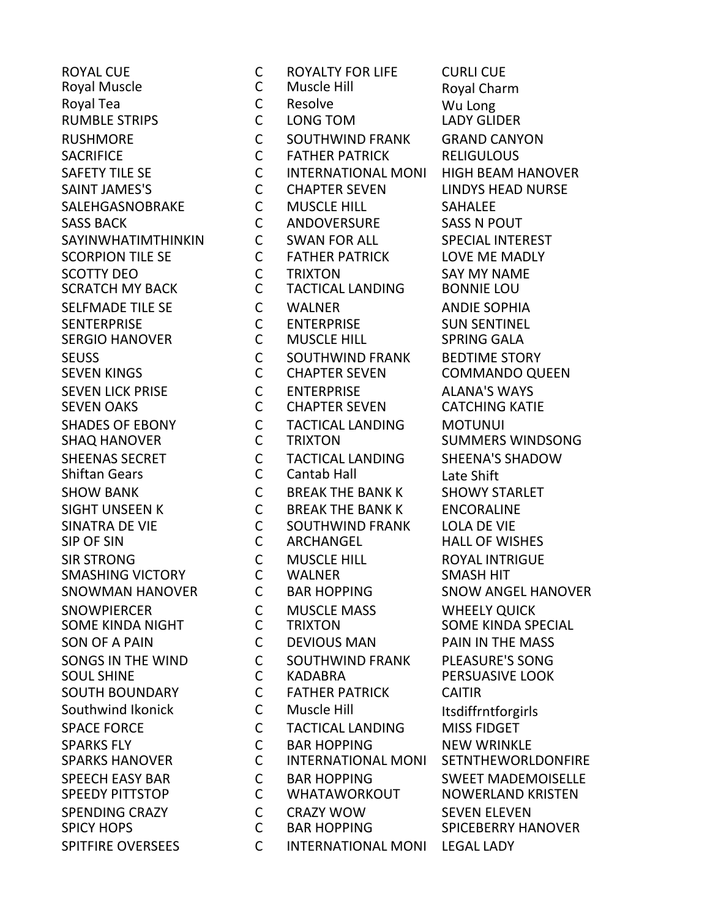**SMASHING VICTORY** SPITFIRE OVERSEES CONTERNATIONAL MONI LEGAL LADY

ROYAL CUE C ROYALTY FOR LIFE CURLI CUE Royal Muscle C Muscle Hill Royal Charm Royal Tea North Care Contract Contract Contract Contract Contract Contract Contract Contract Contract Contract Contract Contract Contract Contract Contract Contract Contract Contract Contract Contract Contract Contract Con RUMBLE STRIPS C LONG TOM LADY GLIDER RUSHMORE C SOUTHWIND FRANK GRAND CANYON SACRIFICE C FATHER PATRICK RELIGULOUS SAFETY TILE SE THE COMMITTERNATIONAL MONI THIGH BEAM HANOVER SAINT JAMES'S C CHAPTER SEVEN LINDYS HEAD NURSE SALEHGASNOBRAKE C MUSCLE HILL SAHALEE SASS BACK **CONOVERSURE** SASS N POUT SAYINWHATIMTHINKIN C SWAN FOR ALL SPECIAL INTEREST SCORPION TILE SE **CONTAINER PATRICK** LOVE ME MADLY SCOTTY DEO C TRIXTON SAY MY NAME SCRATCH MY BACK C TACTICAL LANDING BONNIE LOU SELFMADE TILE SE C WALNER ANDIE SOPHIA SENTERPRISE C ENTERPRISE SUN SENTINEL SERGIO HANOVER C MUSCLE HILL SPRING GALA SEUSS **COUTHWIND FRANK BEDTIME STORY** SEVEN KINGS C CHAPTER SEVEN COMMANDO QUEEN SEVEN LICK PRISE C ENTERPRISE ALANA'S WAYS SEVEN OAKS C CHAPTER SEVEN CATCHING KATIE SHADES OF EBONY C TACTICAL LANDING MOTUNUI SHAQ HANOVER C TRIXTON SUMMERS WINDSONG SHEENAS SECRET C TACTICAL LANDING SHEENA'S SHADOW Shiftan Gears C Cantab Hall Late Shift SHOW BANK C BREAK THE BANK K SHOWY STARLET SIGHT UNSEEN K C BREAK THE BANK K ENCORALINE SINATRA DE VIE C SOUTHWIND FRANK LOLA DE VIE SIR STRONG C MUSCLE HILL ROYAL INTRIGUE SNOWMAN HANOVER C BAR HOPPING SNOW ANGEL HANOVER SNOWPIERCER C MUSCLE MASS WHEELY QUICK SON OF A PAIN C DEVIOUS MAN PAIN IN THE MASS SONGS IN THE WIND C SOUTHWIND FRANK PLEASURE'S SONG<br>SOUL SHINE C KADABRA PERSUASIVE LOOK SOUL SHINE **CONTAINATION CONTREST CONTREST CONTRES** PERSUASIVE LOOK SOUTH BOUNDARY C FATHER PATRICK CAITIR Southwind Ikonick C Muscle Hill Itsdiffrntforgirls SPACE FORCE **CULLICAL LANDING** MISS FIDGET SPARKS FLY C BAR HOPPING NEW WRINKLE SPEECH EASY BAR C BAR HOPPING SWEET MADEMOISELLE SPEEDY PITTSTOP C WHATAWORKOUT NOWERLAND KRISTEN SPENDING CRAZY C CRAZY WOW SEVEN ELEVEN C BAR HOPPING SPICEBERRY HANOVER

**HALL OF WISHES** SOME KINDA SPECIAL **SETNTHEWORLDONFIRE**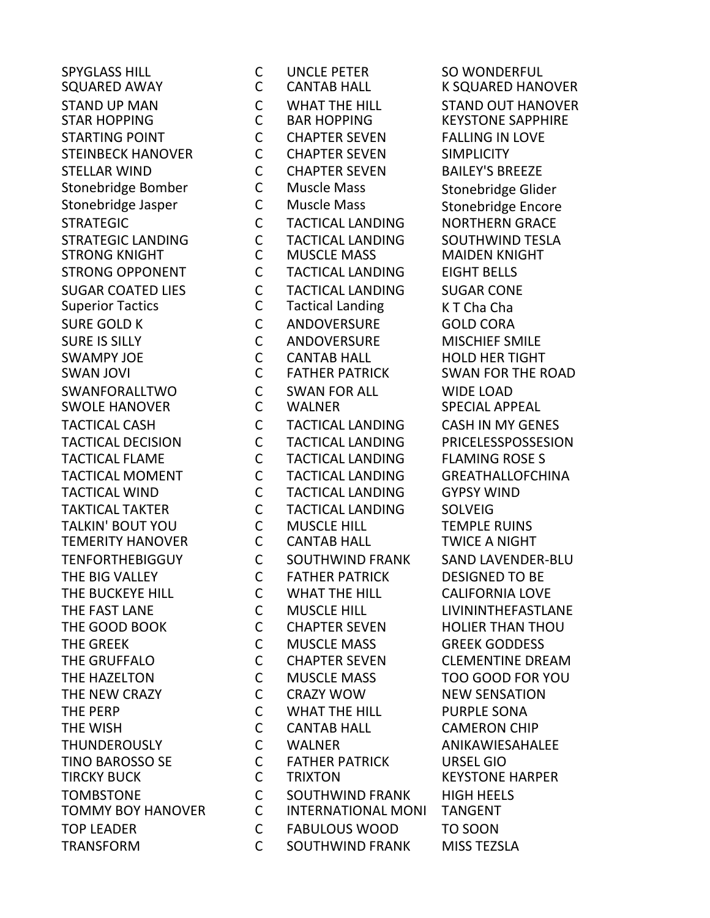**STRONG KNIGHT** SWOLE HANOVER **SWOLE AREA COMPUTER TEMERITY HANOVER** 

SPYGLASS HILL C UNCLE PETER SO WONDERFUL SQUARED AWAY **COMITAB HALL COMES AND A SAMPLE REGIST** STAND UP MAN C WHAT THE HILL STAND OUT HANOVER STARTING POINT C CHAPTER SEVEN FALLING IN LOVE STEINBECK HANOVER C CHAPTER SEVEN SIMPLICITY STELLAR WIND C CHAPTER SEVEN BAILEY'S BREEZE Stonebridge Bomber C Muscle Mass Stonebridge Glider Stonebridge Jasper C Muscle Mass Stonebridge Encore STRATEGIC C TACTICAL LANDING NORTHERN GRACE STRATEGIC LANDING C TACTICAL LANDING SOUTHWIND TESLA STRONG OPPONENT C TACTICAL LANDING EIGHT BELLS SUGAR COATED LIES C TACTICAL LANDING SUGAR CONE<br>Superior Tactics C Tactical Landing K T Cha Cha Superior Tactics **C** Tactical Landing K T Cha Cha SURE GOLD K C ANDOVERSURE GOLD CORA SURE IS SILLY C ANDOVERSURE MISCHIEF SMILE SWAMPY JOE CONTAB HALL HOLD HER TIGHT SWAN JOVI C FATHER PATRICK SWAN FOR THE ROAD SWANFORALLTWO C SWAN FOR ALL WIDE LOAD TACTICAL CASH C TACTICAL LANDING CASH IN MY GENES TACTICAL DECISION C TACTICAL LANDING PRICELESSPOSSESION TACTICAL FLAME C TACTICAL LANDING FLAMING ROSE S TACTICAL MOMENT C TACTICAL LANDING GREATHALLOFCHINA TACTICAL WIND C TACTICAL LANDING GYPSY WIND TAKTICAL TAKTER C TACTICAL LANDING SOLVEIG TALKIN' BOUT YOU C MUSCLE HILL TEMPLE RUINS<br>TEMERITY HANOVER C CANTAB HALL TWICE A NIGHT TENFORTHEBIGGUY C SOUTHWIND FRANK SAND LAVENDER-BLU THE BIG VALLEY C FATHER PATRICK DESIGNED TO BE THE BUCKEYE HILL C WHAT THE HILL CALIFORNIA LOVE THE FAST LANE C MUSCLE HILL LIVININTHEFASTLANE THE GOOD BOOK C CHAPTER SEVEN HOLIER THAN THOU THE GREEK **COMUSCLE MASS** GREEK GODDESS THE GRUFFALO C CHAPTER SEVEN CLEMENTINE DREAM THE HAZELTON C MUSCLE MASS TOO GOOD FOR YOU THE NEW CRAZY **CURAZY WOW SENSATION** THE PERP **C** WHAT THE HILL PURPLE SONA THE WISH COMPONENT COMPONENT COMPONENT CAMERON CHIP THUNDEROUSLY C WALNER ANIKAWIESAHALEE TINO BAROSSO SE C FATHER PATRICK URSEL GIO TOMBSTONE C SOUTHWIND FRANK HIGH HEELS TOMMY BOY HANOVER C INTERNATIONAL MONI TANGENT TOP LEADER C FABULOUS WOOD TO SOON TRANSFORM C SOUTHWIND FRANK MISS TEZSLA

**KEYSTONE SAPPHIRE KEYSTONE HARPER**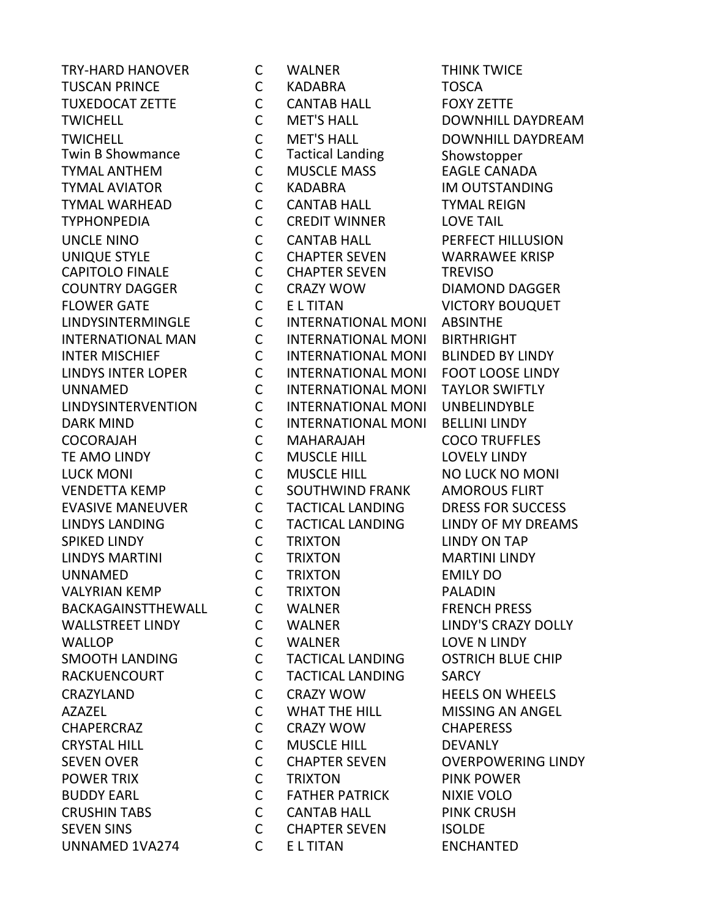TYMAL ANTHEM UNNAMED 1VA274 C E L TITAN ENCHANTED

TRY-HARD HANOVER C WALNER THINK TWICE TUSCAN PRINCE C KADABRA TOSCA TUXEDOCAT ZETTE C CANTAB HALL FOXY ZETTE TWICHELL C MET'S HALL DOWNHILL DAYDREAM TWICHELL C MET'S HALL DOWNHILL DAYDREAM Twin B Showmance  $C$  Tactical Landing Showstopper<br>TYMAL ANTHEM C MUSCLE MASS EAGLE CANADA TYMAL AVIATOR C KADABRA IM OUTSTANDING TYMAL WARHEAD C CANTAB HALL TYMAL REIGN TYPHONPEDIA C CREDIT WINNER LOVE TAIL UNCLE NINO C CANTAB HALL PERFECT HILLUSION UNIQUE STYLE C CHAPTER SEVEN WARRAWEE KRISP CAPITOLO FINALE C CHAPTER SEVEN TREVISO COUNTRY DAGGER C CRAZY WOW DIAMOND DAGGER FLOWER GATE C E L TITAN VICTORY BOUQUET LINDYSINTERMINGLE C INTERNATIONAL MONI ABSINTHE INTERNATIONAL MAN C INTERNATIONAL MONI BIRTHRIGHT INTER MISCHIEF C INTERNATIONAL MONI BLINDED BY LINDY LINDYS INTER LOPER C INTERNATIONAL MONI FOOT LOOSE LINDY UNNAMED C INTERNATIONAL MONI TAYLOR SWIFTLY LINDYSINTERVENTION C INTERNATIONAL MONI UNBELINDYBLE DARK MIND C INTERNATIONAL MONI BELLINI LINDY COCORAJAH C MAHARAJAH COCO TRUFFLES TE AMO LINDY C MUSCLE HILL LOVELY LINDY LUCK MONI C MUSCLE HILL NO LUCK NO MONI VENDETTA KEMP C SOUTHWIND FRANK AMOROUS FLIRT EVASIVE MANEUVER C TACTICAL LANDING DRESS FOR SUCCESS LINDYS LANDING C TACTICAL LANDING LINDY OF MY DREAMS SPIKED LINDY C TRIXTON LINDY ON TAP LINDYS MARTINI C TRIXTON MARTINI LINDY UNNAMED C TRIXTON EMILY DO VALYRIAN KEMP C TRIXTON PALADIN BACKAGAINSTTHEWALL C WALNER FRENCH PRESS WALLSTREET LINDY C WALNER LINDY'S CRAZY DOLLY WALLOP **C** WALNER LOVE N LINDY SMOOTH LANDING C TACTICAL LANDING OSTRICH BLUE CHIP RACKUENCOURT C TACTICAL LANDING SARCY CRAZYLAND C CRAZY WOW HEELS ON WHEELS AZAZEL C WHAT THE HILL MISSING AN ANGEL CHAPERCRAZ C CRAZY WOW CHAPERESS CRYSTAL HILL C MUSCLE HILL DEVANLY SEVEN OVER CONSIDERT COMPARTER SEVEN COVERPOWERING LINDY POWER TRIX **CONTAINS CONTRIXTON** PINK POWER BUDDY EARL C FATHER PATRICK NIXIE VOLO CRUSHIN TABS C CANTAB HALL PINK CRUSH SEVEN SINS C CHAPTER SEVEN ISOLDE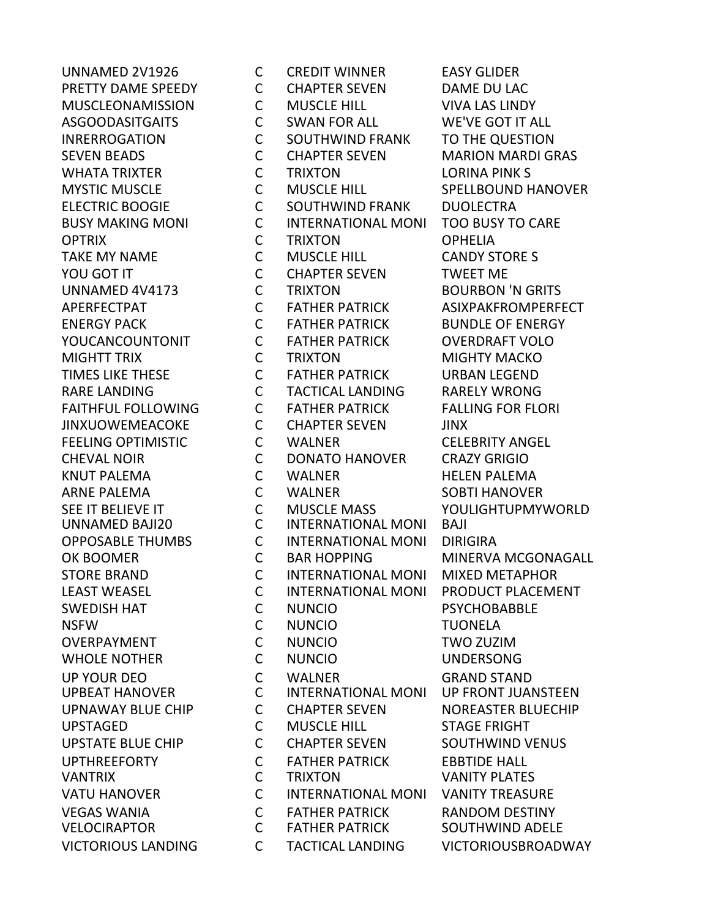UNNAMED 2V1926 C CREDIT WINNER EASY GLIDER PRETTY DAME SPEEDY C CHAPTER SEVEN DAME DU LAC MUSCLEONAMISSION C MUSCLE HILL VIVA LAS LINDY ASGOODASITGAITS C SWAN FOR ALL WE'VE GOT IT ALL INRERROGATION C SOUTHWIND FRANK TO THE QUESTION SEVEN BEADS C CHAPTER SEVEN MARION MARDI GRAS WHATA TRIXTER C TRIXTON LORINA PINK S MYSTIC MUSCLE C MUSCLE HILL SPELLBOUND HANOVER ELECTRIC BOOGIE C SOUTHWIND FRANK DUOLECTRA BUSY MAKING MONI C INTERNATIONAL MONI TOO BUSY TO CARE OPTRIX C TRIXTON OPHELIA TAKE MY NAME C MUSCLE HILL CANDY STORE S YOU GOT IT GOT CONSIDER SEVEN TWEET ME UNNAMED 4V4173 C TRIXTON BOURBON 'N GRITS APERFECTPAT C FATHER PATRICK ASIXPAKFROMPERFECT ENERGY PACK C FATHER PATRICK BUNDLE OF ENERGY YOUCANCOUNTONIT C FATHER PATRICK OVERDRAFT VOLO MIGHTT TRIX C TRIXTON MIGHTY MACKO TIMES LIKE THESE C FATHER PATRICK URBAN LEGEND RARE LANDING C TACTICAL LANDING RARELY WRONG FAITHFUL FOLLOWING C FATHER PATRICK FALLING FOR FLORI JINXUOWEMEACOKE C CHAPTER SEVEN JINX FEELING OPTIMISTIC C WALNER CELEBRITY ANGEL CHEVAL NOIR C DONATO HANOVER CRAZY GRIGIO KNUT PALEMA C WALNER HELEN PALEMA ARNE PALEMA C WALNER SOBTI HANOVER SEE IT BELIEVE IT C MUSCLE MASS YOULIGHTUPMYWORLD UNNAMED BAJI20 C INTERNATIONAL MONI BAJI OPPOSABLE THUMBS C INTERNATIONAL MONI DIRIGIRA OK BOOMER C BAR HOPPING MINERVA MCGONAGALL STORE BRAND C INTERNATIONAL MONI MIXED METAPHOR LEAST WEASEL C INTERNATIONAL MONI PRODUCT PLACEMENT SWEDISH HAT **CONUNCIO** PSYCHOBABBLE NSFW C NUNCIO TUONELA OVERPAYMENT C NUNCIO TWO ZUZIM WHOLE NOTHER C NUNCIO UNDERSONG UP YOUR DEO C WALNER GRAND STAND UPBEAT HANOVER C INTERNATIONAL MONI UP FRONT JUANSTEEN UPNAWAY BLUE CHIP C CHAPTER SEVEN NOREASTER BLUECHIP UPSTAGED C MUSCLE HILL STAGE FRIGHT UPSTATE BLUE CHIP C CHAPTER SEVEN SOUTHWIND VENUS UPTHREEFORTY C FATHER PATRICK EBBTIDE HALL VANTRIX C TRIXTON VANITY PLATES VATU HANOVER C INTERNATIONAL MONI VANITY TREASURE VEGAS WANIA C FATHER PATRICK RANDOM DESTINY VELOCIRAPTOR C FATHER PATRICK SOUTHWIND ADELE VICTORIOUS LANDING C TACTICAL LANDING VICTORIOUSBROADWAY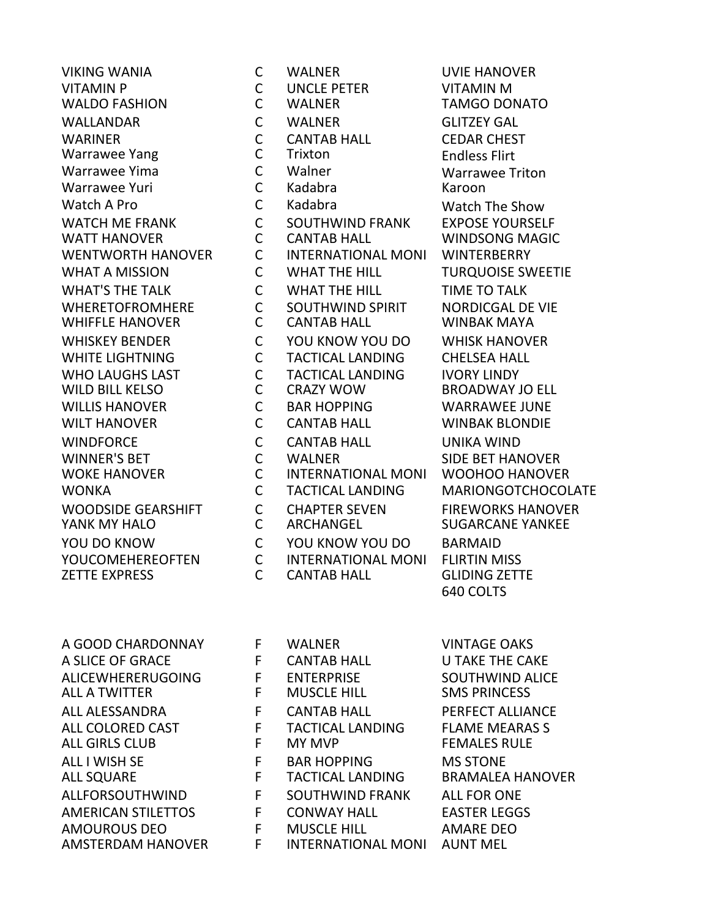VIKING WANIA C WALNER UVIE HANOVER **ZETTE EXPRESS** 

VITAMIN P C UNCLE PETER VITAMIN M WALDO FASHION C WALNER TAMGO DONATO WALLANDAR C WALNER GLITZEY GAL WARINER C CANTAB HALL CEDAR CHEST Warrawee Yang C Trixton Endless Flirt Warrawee Yuri C Kadabra Karoon Watch A Pro C Kadabra Watch The Show WATCH ME FRANK C SOUTHWIND FRANK EXPOSE YOURSELF WATT HANOVER C CANTAB HALL WINDSONG MAGIC WENTWORTH HANOVER C INTERNATIONAL MONI WINTERBERRY WHAT A MISSION **C** WHAT THE HILL **TURQUOISE SWEETIE** WHAT'S THE TALK C WHAT THE HILL TIME TO TALK WHERETOFROMHERE C SOUTHWIND SPIRIT NORDICGAL DE VIE WHIFFLE HANOVER C CANTAB HALL WINBAK MAYA WHISKEY BENDER **COLLYOU KNOW YOU DO** WHISK HANOVER WHITE LIGHTNING C TACTICAL LANDING CHELSEA HALL WHO LAUGHS LAST C TACTICAL LANDING IVORY LINDY WILLIS HANOVER C BAR HOPPING WARRAWEE JUNE WILT HANOVER **COMITAB HALL COMITAB HALL COMITABLY** WINBAK BLONDIE WINDFORCE C CANTAB HALL UNIKA WIND WINNER'S BET C WALNER SIDE BET HANOVER WOKE HANOVER C INTERNATIONAL MONI WOOHOO HANOVER WONKA C TACTICAL LANDING MARIONGOTCHOCOLATE WOODSIDE GEARSHIFT **CONTACTER SEVEN FIREWORKS HANOVER** YANK MY HALO C ARCHANGEL SUGARCANE YANKEE YOU DO KNOW C YOU KNOW YOU DO BARMAID YOUCOMEHEREOFTEN C INTERNATIONAL MONI FLIRTIN MISS<br>ZETTE EXPRESS C CANTAB HALL GLIDING ZETTE

Warrawee Triton BROADWAY JO ELL 640 COLTS

| A GOOD CHARDONNAY         | F  | WALNER                  | <b>VINTAGE OAKS</b>     |
|---------------------------|----|-------------------------|-------------------------|
| A SLICE OF GRACE          | F  | <b>CANTAB HALL</b>      | <b>U TAKE THE CAKE</b>  |
| <b>ALICEWHERERUGOING</b>  | F. | <b>ENTERPRISE</b>       | <b>SOUTHWIND ALICE</b>  |
| ALL A TWITTER             | F. | <b>MUSCLE HILL</b>      | <b>SMS PRINCESS</b>     |
| ALL ALESSANDRA            | F  | <b>CANTAB HALL</b>      | PERFECT ALLIANCE        |
| ALL COLORED CAST          | F  | <b>TACTICAL LANDING</b> | <b>FLAME MEARAS S</b>   |
| <b>ALL GIRLS CLUB</b>     | F  | <b>MY MVP</b>           | <b>FEMALES RULE</b>     |
| ALL I WISH SE             | F. | <b>BAR HOPPING</b>      | <b>MS STONE</b>         |
| <b>ALL SQUARE</b>         | F  | <b>TACTICAL LANDING</b> | <b>BRAMALEA HANOVER</b> |
| ALLFORSOUTHWIND           | F. | <b>SOUTHWIND FRANK</b>  | <b>ALL FOR ONE</b>      |
| <b>AMERICAN STILETTOS</b> | F. | CONWAY HALL             | <b>EASTER LEGGS</b>     |
| <b>AMOUROUS DEO</b>       | F  | <b>MUSCLE HILL</b>      | AMARE DEO               |
| ANACTEDDANA LIANIOVED     | Е  | INITEDNIATIONIAI NAONII | ALINIT MEL              |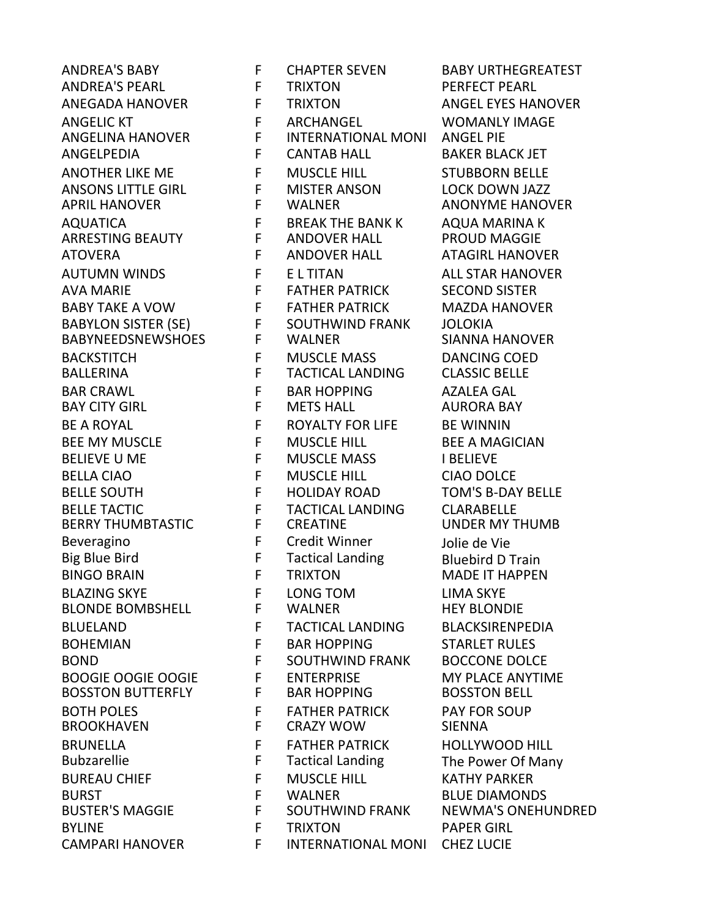**BROOKHAVEN** CAMPARI HANOVER F INTERNATIONAL MONI CHEZ LUCIE

ANDREA'S BABY FFCHAPTER SEVEN BABY URTHEGREATEST ANDREA'S PEARL F TRIXTON PERFECT PEARL ANEGADA HANOVER F TRIXTON ANGEL EYES HANOVER ANGELIC KT F ARCHANGEL WOMANLY IMAGE ANGELINA HANOVER F INTERNATIONAL MONI ANGEL PIE ANGELPEDIA F CANTAB HALL BAKER BLACK JET ANOTHER LIKE ME F MUSCLE HILL STUBBORN BELLE ANSONS LITTLE GIRL F MISTER ANSON LOCK DOWN JAZZ AQUATICA F BREAK THE BANK K AQUA MARINA K ARRESTING BEAUTY F ANDOVER HALL PROUD MAGGIE ATOVERA F ANDOVER HALL ATAGIRL HANOVER AUTUMN WINDS FELTITAN ALL STAR HANOVER AVA MARIE FELLES FATHER PATRICK SECOND SISTER BABY TAKE A VOW FRATHER PATRICK MAZDA HANOVER BABYLON SISTER (SE) F SOUTHWIND FRANK JOLOKIA BABYNEEDSNEWSHOES F WALNER SIANNA HANOVER BACKSTITCH F MUSCLE MASS DANCING COED<br>BALLERINA F TACTICAL LANDING CLASSIC BELLE BALLERINA F TACTICAL LANDING CLASSIC BELLE BAR CRAWL F BAR HOPPING AZALEA GAL BAY CITY GIRL F METS HALL AURORA BAY BE A ROYAL **FROYALTY FOR LIFE BE WINNIN** BEE MY MUSCLE **F** MUSCLE HILL BEE A MAGICIAN BELIEVE U ME F MUSCLE MASS I BELIEVE BELLA CIAO F MUSCLE HILL CIAO DOLCE BELLE SOUTH F HOLIDAY ROAD TOM'S B-DAY BELLE BELLE TACTIC F TACTICAL LANDING CLARABELLE BERRY THUMBTASTIC F CREATINE UNDER MY THUMB Beveragino F Credit Winner Jolie de Vie Big Blue Bird F Tactical Landing Bluebird D Train BLAZING SKYE F LONG TOM LIMA SKYE BLONDE BOMBSHELL F WALNER HEY BLONDIE BLUELAND F TACTICAL LANDING BLACKSIRENPEDIA BOHEMIAN F BAR HOPPING STARLET RULES BOND **F** SOUTHWIND FRANK BOCCONE DOLCE BOOGIE OOGIE OOGIE FEITERPRISE MY PLACE ANYTIME BOSSTON BUTTERFLY F BAR HOPPING BOSSTON BELL BOTH POLES F FATHER PATRICK PAY FOR SOUP BRUNELLA F FATHER PATRICK HOLLYWOOD HILL Tactical Landing The Power Of Many BUREAU CHIEF F MUSCLE HILL KATHY PARKER BURST F WALNER BLUE DIAMONDS BYLINE **F** TRIXTON PAPER GIRL

**ANONYME HANOVER MADE IT HAPPEN** NEWMA'S ONEHUNDRED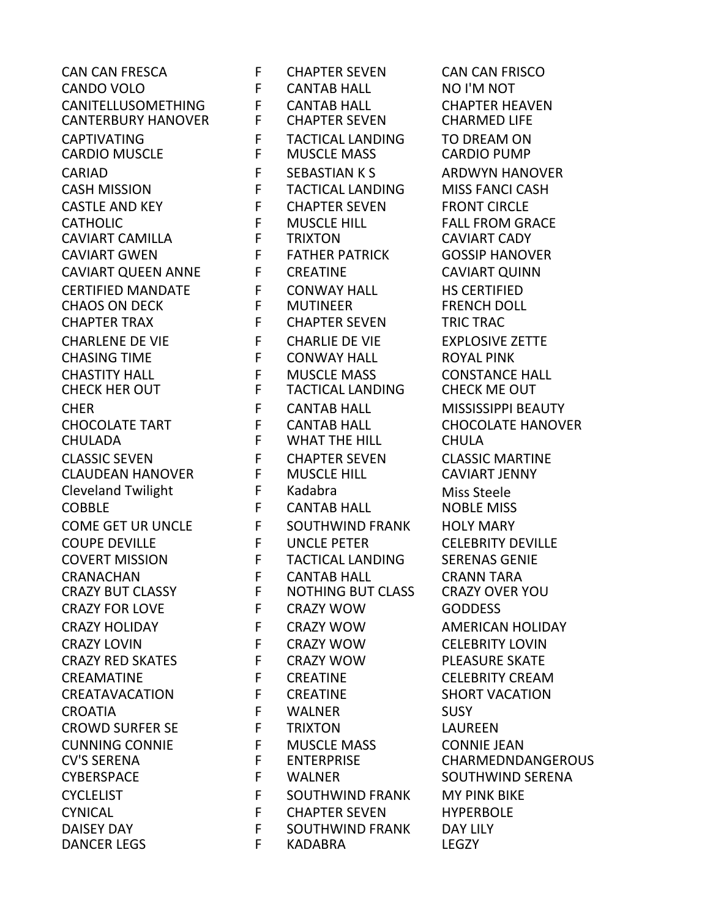CANDO VOLO F CANTAB HALL NO I'M NOT CANITELLUSOMETHING F CANTAB HALL CHAPTER HEAVEN CANTERBURY HANOVER CAPTIVATING F TACTICAL LANDING TO DREAM ON CARDIO MUSCLE F MUSCLE MASS CARDIO PUMP CARIAD **F** SEBASTIAN K S ARDWYN HANOVER CASH MISSION F TACTICAL LANDING MISS FANCI CASH CASTLE AND KEY F CHAPTER SEVEN FRONT CIRCLE CATHOLIC F MUSCLE HILL FALL FROM GRACE<br>CAVIART CAMILLA F FRIXTON CAVIART CADY CAVIART CAMILLA F TRIXTON CAVIART CADY CAVIART GWEN F FATHER PATRICK GOSSIP HANOVER CAVIART QUEEN ANNE F CREATINE CAVIART QUINN CERTIFIED MANDATE F CONWAY HALL HS CERTIFIED **CHAOS ON DECK** CHAPTER TRAX **F** CHAPTER SEVEN TRIC TRAC CHARLENE DE VIE F CHARLIE DE VIE EXPLOSIVE ZETTE CHASING TIME F CONWAY HALL ROYAL PINK CHASTITY HALL F MUSCLE MASS CONSTANCE HALL CHER F CANTAB HALL MISSISSIPPI BEAUTY CHOCOLATE TART F CANTAB HALL CHOCOLATE HANOVER CHULADA F WHAT THE HILL CHULA CLASSIC SEVEN F CHAPTER SEVEN CLASSIC MARTINE CLAUDEAN HANOVER F MUSCLE HILL CAVIART JENNY Cleveland Twilight **Fandabra** F Kadabra Miss Steele<br>COBBLE MISS ON THE CANTAB HALL **COBBLE MISS** COBBLE F CANTAB HALL NOBLE MISS COME GET UR UNCLE F SOUTHWIND FRANK HOLY MARY COUPE DEVILLE F UNCLE PETER CELEBRITY DEVILLE COVERT MISSION F TACTICAL LANDING SERENAS GENIE CRANACHAN F CANTAB HALL CRANN TARA CRAZY FOR LOVE F CRAZY WOW GODDESS CRAZY HOLIDAY F CRAZY WOW AMERICAN HOLIDAY CRAZY LOVIN F CRAZY WOW CELEBRITY LOVIN CRAZY RED SKATES F CRAZY WOW PLEASURE SKATE CREAMATINE F CREATINE CELEBRITY CREAM CREATAVACATION F CREATINE SHORT VACATION CROATIA F WALNER SUSY CROWD SURFER SE F TRIXTON LAUREEN CUNNING CONNIE F MUSCLE MASS CONNIE JEAN CYBERSPACE F WALNER SOUTHWIND SERENA CYCLELIST **F** SOUTHWIND FRANK MY PINK BIKE CYNICAL F CHAPTER SEVEN HYPERBOLE DAISEY DAY F SOUTHWIND FRANK DAY LILY<br>DANCER LEGS F KADARRA LEGZY DANCER LEGS F KADABRA LEGZY

CAN CAN FRESCA F CHAPTER SEVEN CAN CAN FRISCO **TACTICAL LANDING NOTHING BUT CLASS** 

CHARMEDNDANGEROUS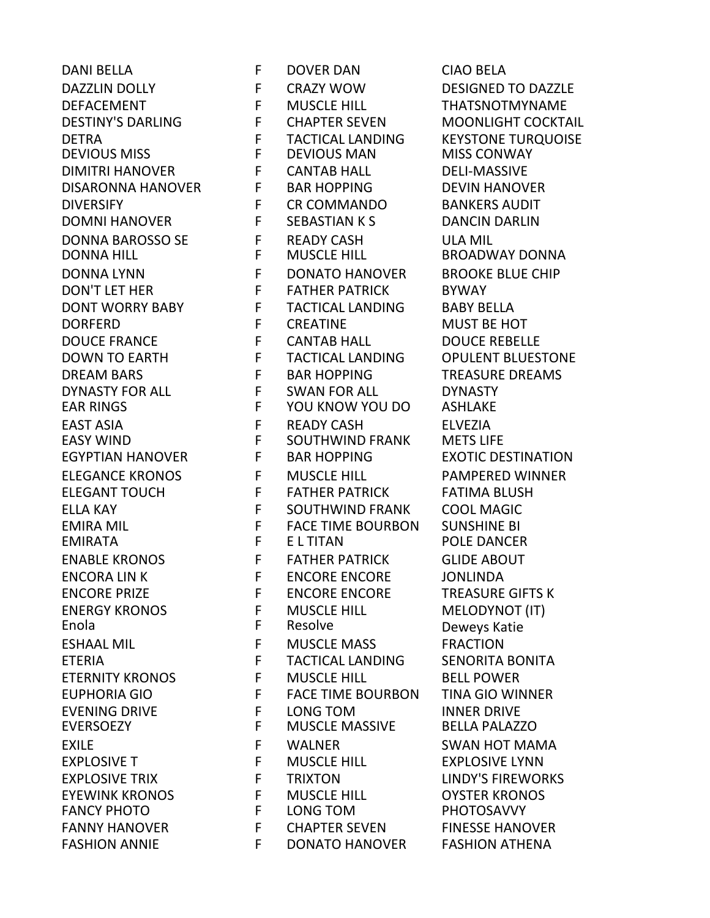DANI BELLA F DOVER DAN CIAO BELA DAZZLIN DOLLY **FILLMARY WOW DESIGNED TO DAZZLE** DEFACEMENT F MUSCLE HILL THATSNOTMYNAME DESTINY'S DARLING F CHAPTER SEVEN MOONLIGHT COCKTAIL DETRA F TACTICAL LANDING KEYSTONE TURQUOISE DEVIOUS MISS F DEVIOUS MAN MISS CONWAY DIMITRI HANOVER F CANTAB HALL DELI-MASSIVE DISARONNA HANOVER F BAR HOPPING DEVIN HANOVER DIVERSIFY F CR COMMANDO BANKERS AUDIT DOMNI HANOVER F SEBASTIAN K S DANCIN DARLIN DONNA BAROSSO SE F READY CASH ULA MIL DONNA LYNN F DONATO HANOVER BROOKE BLUE CHIP DON'T LET HER FATHER PATHER PATRICK BYWAY DONT WORRY BABY F TACTICAL LANDING BABY BELLA DORFERD F CREATINE MUST BE HOT DOUCE FRANCE F CANTAB HALL DOUCE REBELLE DOWN TO EARTH F TACTICAL LANDING OPULENT BLUESTONE DREAM BARS F BAR HOPPING TREASURE DREAMS DYNASTY FOR ALL F SWAN FOR ALL DYNASTY EAR RINGS F YOU KNOW YOU DO ASHLAKE EAST ASIA F READY CASH ELVEZIA SOUTHWIND FRANK EGYPTIAN HANOVER FBAR HOPPING EXOTIC DESTINATION ELEGANCE KRONOS F MUSCLE HILL PAMPERED WINNER ELEGANT TOUCH FFFATHER PATRICK FATIMA BLUSH ELLA KAY F SOUTHWIND FRANK COOL MAGIC EMIRA MIL F FACE TIME BOURBON SUNSHINE BI EMIRATA F E L TITAN POLE DANCER ENABLE KRONOS F FATHER PATRICK GLIDE ABOUT ENCORA LIN K F ENCORE ENCORE SONLINDA<br>ENCORE PRIZE F ENCORE ENCORE TREASURE ENCORE PRIZE F ENCORE ENCORE TREASURE GIFTS K ENERGY KRONOS F MUSCLE HILL MELODYNOT (IT) Enola F Resolve Deweys Katie ESHAAL MIL
ESHAAL
NIL
F
MUSCLE
MASS
FRACTION ETERIA F TACTICAL LANDING SENORITA BONITA ETERNITY KRONOS F MUSCLE HILL BELL POWER EUPHORIA GIO F FACE TIME BOURBON TINA GIO WINNER EVENING DRIVE F LONG TOM INNER DRIVE **MUSCLE MASSIVE** EXILE **EXILE SWALLMER** SWAN HOT MAMA EXPLOSIVE T F MUSCLE HILL EXPLOSIVE LYNN EXPLOSIVE TRIX **FXPLOSIVE TRIXTON** FXPLOSIVE TRIXTON EYEWINK KRONOS F MUSCLE HILL OYSTER KRONOS FANCY PHOTO F LONG TOM PHOTOSAVVY FANNY HANOVER FRIEL THE CHAPTER SEVEN FINESSE HANOVER FASHION ANNIE THE FELL DONATO HANOVER FASHION ATHENA

BROADWAY DONNA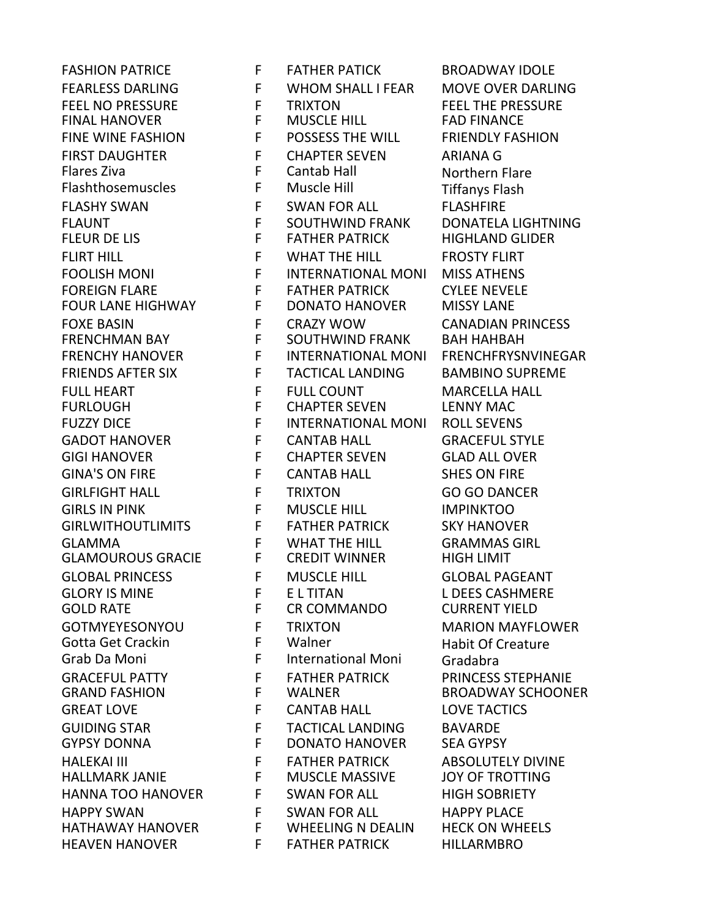**FINAL HANOVER** FOUR LANE HIGHWAY F DONATO HANOVER HEAVEN HANOVER F FATHER PATRICK HILLARMBRO

FASHION PATRICE **FRATHER PATICK BROADWAY IDOLE** FEARLESS DARLING **FULL INTEREAR HARLESS DARLING** FEEL NO PRESSURE F TRIXTON FEEL THE PRESSURE FINE WINE FASHION F POSSESS THE WILL FRIENDLY FASHION FIRST DAUGHTER F CHAPTER SEVEN ARIANA G<br>Flares Ziva F Cantab Hall Roothern I F Cantab Hall Northern Flare<br>F Muscle Hill Nortfanys Flash Flashthosemuscles F Muscle Hill **Tiffanys Flash** FLASHY SWAN FURASH FURSHEIRE FLASHFIRE FLAUNT F SOUTHWIND FRANK DONATELA LIGHTNING FLEUR DE LIS F FATHER PATRICK HIGHLAND GLIDER FLIRT HILL **FILL FILL FROSTY FLIRT** FOOLISH MONI F INTERNATIONAL MONI MISS ATHENS FOREIGN FLARE F FATHER PATRICK CYLEE NEVELE FOXE BASIN F CRAZY WOW CANADIAN PRINCESS FRENCHMAN BAY F SOUTHWIND FRANK BAH HAHBAH FRENCHY HANOVER F INTERNATIONAL MONI FRENCHFRYSNVINEGAR FRIENDS AFTER SIX F TACTICAL LANDING BAMBINO SUPREME FULL HEART F FULL COUNT MARCELLA HALL FURLOUGH F CHAPTER SEVEN LENNY MAC FUZZY DICE F INTERNATIONAL MONI ROLL SEVENS GADOT HANOVER F CANTAB HALL GRACEFUL STYLE GIGI HANOVER F CHAPTER SEVEN GLAD ALL OVER GINA'S ON FIRE F CANTAB HALL SHES ON FIRE GIRLFIGHT HALL F TRIXTON GO GO DANCER GIRLS IN PINK F MUSCLE HILL **IMPINKTOO** GIRLWITHOUTLIMITS FF FATHER PATRICK SKY HANOVER GLAMMA F WHAT THE HILL GRAMMAS GIRL GLAMOUROUS GRACIE F CREDIT WINNER HIGH LIMIT GLOBAL PRINCESS F MUSCLE HILL GLOBAL PAGEANT GLORY IS MINE F E L TITAN L DEES CASHMERE GOLD RATE F CR COMMANDO CURRENT YIELD GOTMYEYESONYOU F TRIXTON MARION MAYFLOWER Gotta Get Crackin F Walner Habit Of Creature Grab Da Moni F International Moni Gradabra GRACEFUL PATTY **FELL FATHER PATRICK FRINCESS STEPHANIE** GRAND FASHION F WALNER BROADWAY SCHOONER GREAT LOVE **F** CANTAB HALL LOVE TACTICS GUIDING STAR F TACTICAL LANDING BAVARDE GYPSY DONNA F DONATO HANOVER SEA GYPSY HALEKAI III F FATHER PATRICK ABSOLUTELY DIVINE HALLMARK JANIE F MUSCLE MASSIVE JOY OF TROTTING HANNA TOO HANOVER F SWAN FOR ALL FIGH SOBRIETY HAPPY SWAN FOR ALL HAPPY PLACE<br>HATHAWAY HANOVER FWHEFIING N DEAIIN HECK ON WH HATHAWAY HANOVER F WHEELING N DEALIN HECK ON WHEELS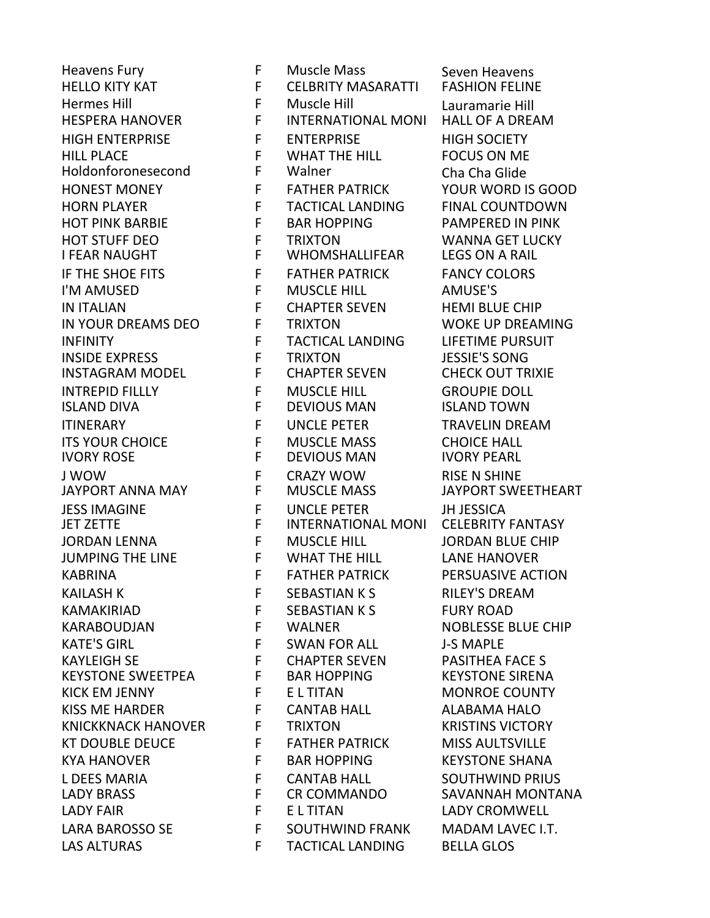Heavens Fury F Muscle Mass Seven Heavens<br>HELLO KITY KAT F CELBRITY MASARATTI FASHION FELIN HELLO KITY KAT F CELBRITY MASARATTI FASHION FELINE Hermes Hill F Muscle Hill Lauramarie Hill INTERNATIONAL MONI HIGH ENTERPRISE F ENTERPRISE HIGH SOCIETY HILL PLACE F WHAT THE HILL FOCUS ON ME Holdonforonesecond F Walner Cha Cha Glide HONEST MONEY F FATHER PATRICK YOUR WORD IS GOOD HORN PLAYER F TACTICAL LANDING FINAL COUNTDOWN HOT PINK BARBIE F BAR HOPPING PAMPERED IN PINK HOT STUFF DEO F TRIXTON WANNA GET LUCKY **WHOMSHALLIFEAR** IF THE SHOE FITS FATHER PATRICK FANCY COLORS I'M AMUSED F MUSCLE HILL AMUSE'S IN ITALIAN F CHAPTER SEVEN HEMI BLUE CHIP IN YOUR DREAMS DEO F TRIXTON WOKE UP DREAMING INFINITY F TACTICAL LANDING LIFETIME PURSUIT INSIDE EXPRESS F TRIXTON JESSIE'S SONG INSTAGRAM MODEL F CHAPTER SEVEN CHECK OUT TRIXIE INTREPID FILLLY F MUSCLE HILL GROUPIE DOLL ISLAND DIVA F DEVIOUS MAN ISLAND TOWN ITINERARY F UNCLE PETER TRAVELIN DREAM ITS YOUR CHOICE F MUSCLE MASS CHOICE HALL IVORY ROSE F DEVIOUS MAN IVORY PEARL J WOW F CRAZY WOW RISE N SHINE JESS IMAGINE F UNCLE PETER JH JESSICA JET ZETTE F INTERNATIONAL MONI CELEBRITY FANTASY JORDAN LENNA F MUSCLE HILL JORDAN BLUE CHIP JUMPING THE LINE F WHAT THE HILL LANE HANOVER KABRINA F FATHER PATRICK PERSUASIVE ACTION KAILASH K KAILASH K SEBASTIAN K S KAMAKIRIAD F SEBASTIAN K S FURY ROAD KARABOUDJAN F WALNER NOBLESSE BLUE CHIP KATE'S GIRL F SWAN FOR ALL THE SAMPLE KAYLEIGH SE F CHAPTER SEVEN PASITHEA FACE S KEYSTONE SWEETPEA F BAR HOPPING KEYSTONE SIRENA KICK EM JENNY F E L TITAN MONROE COUNTY KISS ME HARDER F CANTAB HALL ALABAMA HALO KNICKKNACK HANOVER FTRIXTON KRISTINS VICTORY KT DOUBLE DEUCE THE FATHER PATRICK THIS AULTSVILLE KYA HANOVER FRAGHOPPING KEYSTONE SHANA L DEES MARIA F CANTAB HALL SOUTHWIND PRIUS LADY BRASS F CR COMMANDO SAVANNAH MONTANA LADY FAIR F E L TITAN LADY CROMWELL LARA BAROSSO SE FOUTHWIND FRANK MADAM LAVEC I.T. LAS ALTURAS F TACTICAL LANDING BELLA GLOS

JAYPORT SWEETHEART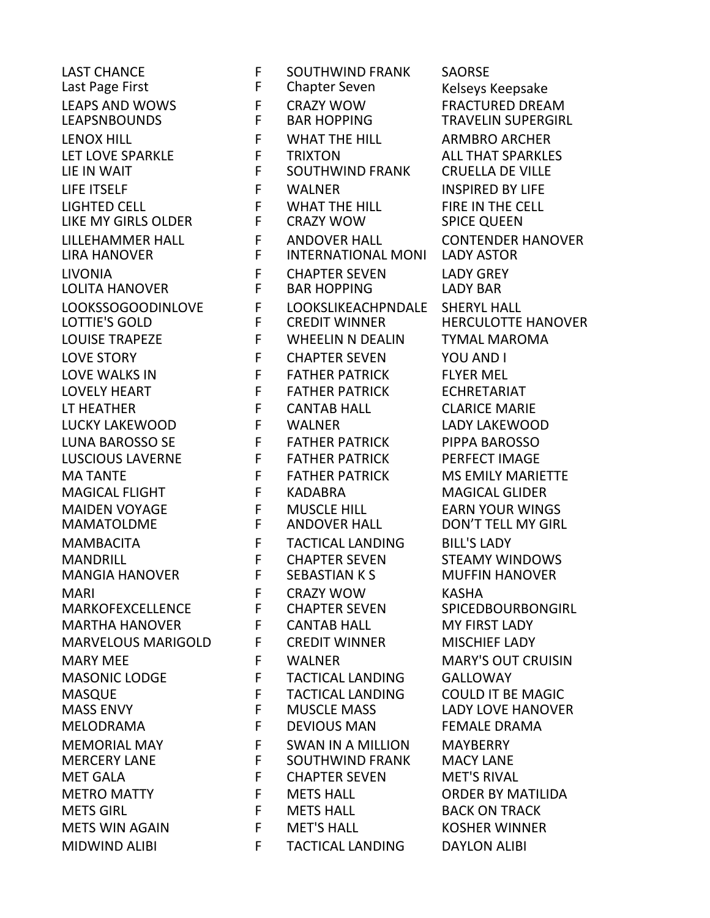Last Page First F Chapter Seven Kelseys Keepsake LEAPS AND WOWS F CRAZY WOW FRACTURED DREAM<br>LEAPSNBOUNDS F BAR HOPPING TRAVELIN SUPERGIR LENOX HILL F WHAT THE HILL ARMBRO ARCHER LET LOVE SPARKLE F TRIXTON ALL THAT SPARKLES LIFE ITSELF F WALNER INSPIRED BY LIFE LIGHTED CELL F WHAT THE HILL FIRE IN THE CELL LIKE MY GIRLS OLDER THE CRAZY WOW SPICE QUEEN LILLEHAMMER HALL F ANDOVER HALL CONTENDER HANOVER LIVONIA F CHAPTER SEVEN LADY GREY LOLITA HANOVER F BAR HOPPING LADY BAR LOOKSSOGOODINLOVE F LOOKSLIKEACHPNDALE SHERYL HALL LOTTIE'S GOLD F CREDIT WINNER HERCULOTTE HANOVER LOUISE TRAPEZE F WHEELIN N DEALIN TYMAL MAROMA LOVE STORY F CHAPTER SEVEN YOU AND I LOVE WALKS IN F FATHER PATRICK FLYER MEL LOVELY HEART FELL FATHER PATRICK FELL FOR FATHER PATRICK LT HEATHER F CANTAB HALL CLARICE MARIE LUCKY LAKEWOOD F WALNER LADY LAKEWOOD LUNA BAROSSO SE F FATHER PATRICK PIPPA BAROSSO LUSCIOUS LAVERNE F FATHER PATRICK PERFECT IMAGE MA TANTE F FATHER PATRICK MS EMILY MARIETTE MAGICAL FLIGHT F KADABRA MAGICAL GLIDER MAIDEN VOYAGE F MUSCLE HILL EARN YOUR WINGS MAMATOLDME F ANDOVER HALL DON'T TELL MY GIRL MAMBACITA F TACTICAL LANDING BILL'S LADY MANDRILL F CHAPTER SEVEN STEAMY WINDOWS MANGIA HANOVER FILIT SEBASTIAN K SIMUFFIN HANOVER MARI F CRAZY WOW KASHA MARKOFEXCELLENCE F CHAPTER SEVEN SPICEDBOURBONGIRL MARTHA HANOVER F CANTAB HALL MY FIRST LADY MARVELOUS MARIGOLD F CREDIT WINNER MISCHIEF LADY MARY MEE FWALNER MARY'S OUT CRUISIN MASONIC LODGE F TACTICAL LANDING GALLOWAY MASQUE F TACTICAL LANDING COULD IT BE MAGIC MASS ENVY **FILLE MUSCLE MASS LADY LOVE HANOVER** MELODRAMA F DEVIOUS MAN FEMALE DRAMA MEMORIAL MAY F SWAN IN A MILLION MAYBERRY MET GALA F CHAPTER SEVEN MET'S RIVAL METRO MATTY F METS HALL ORDER BY MATILIDA METS GIRL F METS HALL BACK ON TRACK METS WIN AGAIN F MET'S HALL KOSHER WINNER MIDWIND ALIBI F TACTICAL LANDING DAYLON ALIBI

LAST CHANCE F SOUTHWIND FRANK SAORSE SOUTHWIND FRANK INTERNATIONAL MONI SOUTHWIND FRANK

TRAVELIN SUPERGIRL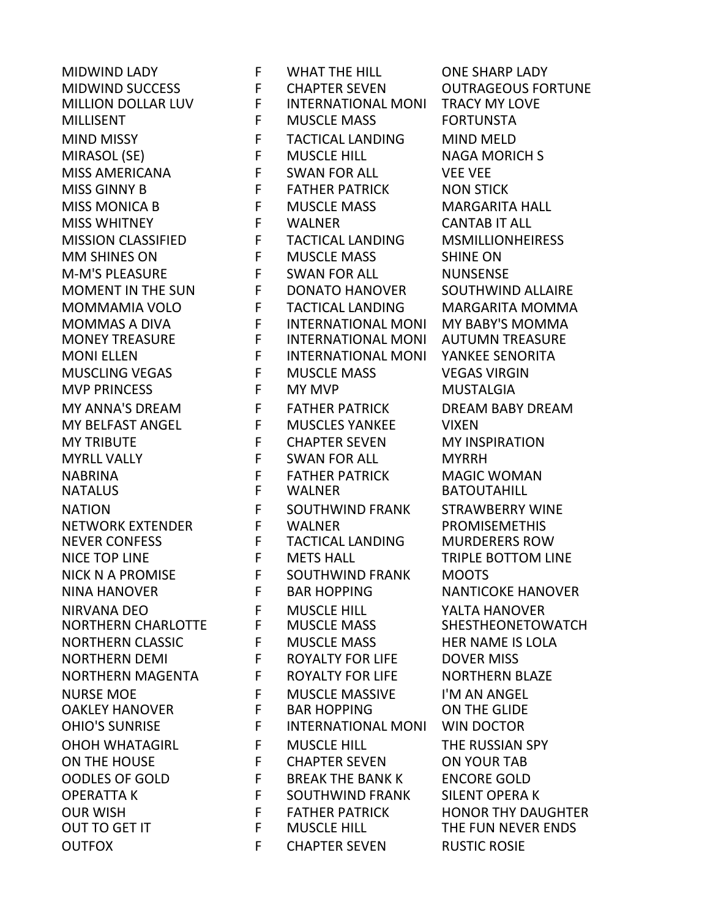NORTHERN CHARLOTTE OUTFOX F CHAPTER SEVEN RUSTIC ROSIE

MIDWIND LADY F WHAT THE HILL ONE SHARP LADY MIDWIND SUCCESS F CHAPTER SEVEN OUTRAGEOUS FORTUNE MILLION DOLLAR LUV F INTERNATIONAL MONI TRACY MY LOVE MILLISENT F MUSCLE MASS FORTUNSTA MIND MISSY F TACTICAL LANDING MIND MELD MIRASOL (SE) F MUSCLE HILL NAGA MORICH S MISS AMERICANA F SWAN FOR ALL VEE VEE MISS GINNY B F FATHER PATRICK NON STICK MISS MONICA B F MUSCLE MASS MARGARITA HALL MISS WHITNEY F WALNER CANTAB IT ALL MISSION CLASSIFIED F TACTICAL LANDING MSMILLIONHEIRESS<br>MM SHINES ON F MUSCLE MASS SHINE ON MM SHINES ON F MUSCLE MASS SHINE ON M-M'S PLEASURE F SWAN FOR ALL NUNSENSE MOMENT IN THE SUN F DONATO HANOVER SOUTHWIND ALLAIRE MOMMAMIA VOLO F TACTICAL LANDING MARGARITA MOMMA MOMMAS A DIVA F INTERNATIONAL MONI MY BABY'S MOMMA MONEY TREASURE F INTERNATIONAL MONI AUTUMN TREASURE MONI ELLEN F INTERNATIONAL MONI YANKEE SENORITA MUSCLING VEGAS F MUSCLE MASS VEGAS VIRGIN MVP PRINCESS F MY MVP MUSTALGIA MY ANNA'S DREAM F FATHER PATRICK DREAM BABY DREAM MY BELFAST ANGEL F MUSCLES YANKEE VIXEN MY TRIBUTE F CHAPTER SEVEN MY INSPIRATION MYRLL VALLY **FILL SWAN FOR ALL CONTRACT CONTRACT CONTRACT** NABRINA F FATHER PATRICK MAGIC WOMAN NATION F SOUTHWIND FRANK STRAWBERRY WINE NETWORK EXTENDER F WALNER PROMISEMETHIS NEVER CONFESS F TACTICAL LANDING MURDERERS ROW NICE TOP LINE F METS HALL TRIPLE BOTTOM LINE NICK N A PROMISE F SOUTHWIND FRANK MOOTS NINA HANOVER FBAR HOPPING NANTICOKE HANOVER NIRVANA DEO F MUSCLE HILL YALTA HANOVER NORTHERN CLASSIC F MUSCLE MASS HER NAME IS LOLA NORTHERN DEMI F ROYALTY FOR LIFE DOVER MISS NORTHERN MAGENTA F ROYALTY FOR LIFE NORTHERN BLAZE NURSE MOE F MUSCLE MASSIVE I'M AN ANGEL OAKLEY HANOVER F BAR HOPPING ON THE GLIDE OHIO'S SUNRISE F INTERNATIONAL MONI WIN DOCTOR OHOH WHATAGIRL F MUSCLE HILL THE RUSSIAN SPY ON THE HOUSE **FULL THE CHAPTER SEVEN** ON YOUR TAB OODLES OF GOLD F BREAK THE BANK K ENCORE GOLD OPERATTA K F SOUTHWIND FRANK SILENT OPERA K OUR WISH F FATHER PATRICK HONOR THY DAUGHTER MUSCLE HILL **THE FUN NEVER ENDS** 

**BATOUTAHILL**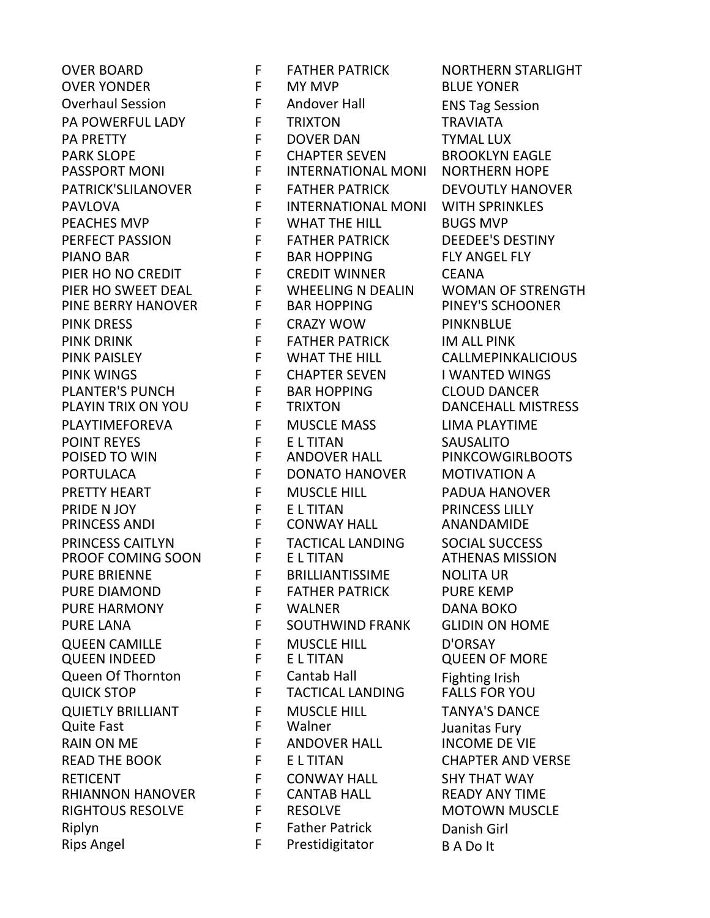PINE BERRY HANOVER Riplyn F Father Patrick Danish Girl<br>Rins Angel F Prestidigitator RA Do It Rips Angel The Restidigitator The B A Do It

OVER BOARD F FATHER PATRICK NORTHERN STARLIGHT OVER YONDER F MY MVP BLUE YONER Overhaul Session F Andover Hall ENS Tag Session PA POWERFUL LADY F TRIXTON TRAVIATA PA PRETTY F DOVER DAN TYMAL LUX PARK SLOPE F CHAPTER SEVEN BROOKLYN EAGLE<br>PASSPORT MONI F INTERNATIONAL MONI NORTHERN HOPE **INTERNATIONAL MONI** PATRICK'SLILANOVER FFFATHER PATRICK DEVOUTLY HANOVER PAVLOVA **F** INTERNATIONAL MONI WITH SPRINKLES PEACHES MVP F WHAT THE HILL BUGS MVP PERFECT PASSION F FATHER PATRICK DEEDEE'S DESTINY PIANO BAR F BAR HOPPING FLY ANGEL FLY PIER HO NO CREDIT F CREDIT WINNER CEANA PIER HO SWEET DEAL FUNHEELING N DEALIN THOMAN OF STRENGTH<br>PINE BERRY HANOVER FBAR HOPPING PINEY'S SCHOONER PINK DRESS F CRAZY WOW PINKNBLUE PINK DRINK F FATHER PATRICK THE HILL PINK PARASTER PATRICK THE HILL PINK PATRICK THE HILL PINK PATRICK THE HILL<br>PINK PAISLEY THE STATE OF THE HILL THE HILL CALL MEPINK PINK PAISLEY F WHAT THE HILL CALLMEPINKALICIOUS PINK WINGS F CHAPTER SEVEN I WANTED WINGS PLANTER'S PUNCH F BAR HOPPING CLOUD DANCER PLAYIN TRIX ON YOU F TRIXTON DANCEHALL MISTRESS PLAYTIMEFOREVA F MUSCLE MASS LIMA PLAYTIME POINT REYES F E L TITAN SAUSALITO POISED TO WIN F ANDOVER HALL PINKCOWGIRLBOOTS PORTULACA F DONATO HANOVER MOTIVATION A PRETTY HEART F MUSCLE HILL PADUA HANOVER PRIDE N JOY F E L TITAN PRINCESS LILLY PRINCESS ANDI F CONWAY HALL ANANDAMIDE PRINCESS CAITLYN F TACTICAL LANDING SOCIAL SUCCESS PROOF COMING SOON F E L TITAN ATHENAS MISSION PURE BRIENNE F BRILLIANTISSIME NOLITA UR PURE DIAMOND F FATHER PATRICK PURE KEMP PURE HARMONY F WALNER DANA BOKO PURE LANA F SOUTHWIND FRANK GLIDIN ON HOME QUEEN CAMILLE F MUSCLE HILL D'ORSAY QUEEN INDEED F E L TITAN QUEEN OF MORE Queen Of Thornton The State of Thornton Cantab Hall The Tighting Irish<br>
TACTICAL LANDING FALLS FOR YOUICK STOP TO THE THACTICAL LANDING FALLS FOR YOU QUICK STOP F F TACTICAL LANDING FALLS FOR YOU QUIETLY BRILLIANT F MUSCLE HILL TANYA'S DANCE<br>Quite Fast F Walner F Walner Thanitas Fury F Walner Juanitas Fury<br>F ANDOVER HALL INCOME DE V RAIN ON ME FANDOVER HALL INCOME DE VIE READ THE BOOK FELTITAN CHAPTER AND VERSE RETICENT F CONWAY HALL SHY THAT WAY RHIANNON HANOVER F CANTAB HALL READY ANY TIME RIGHTOUS RESOLVE F RESOLVE MOTOWN MUSCLE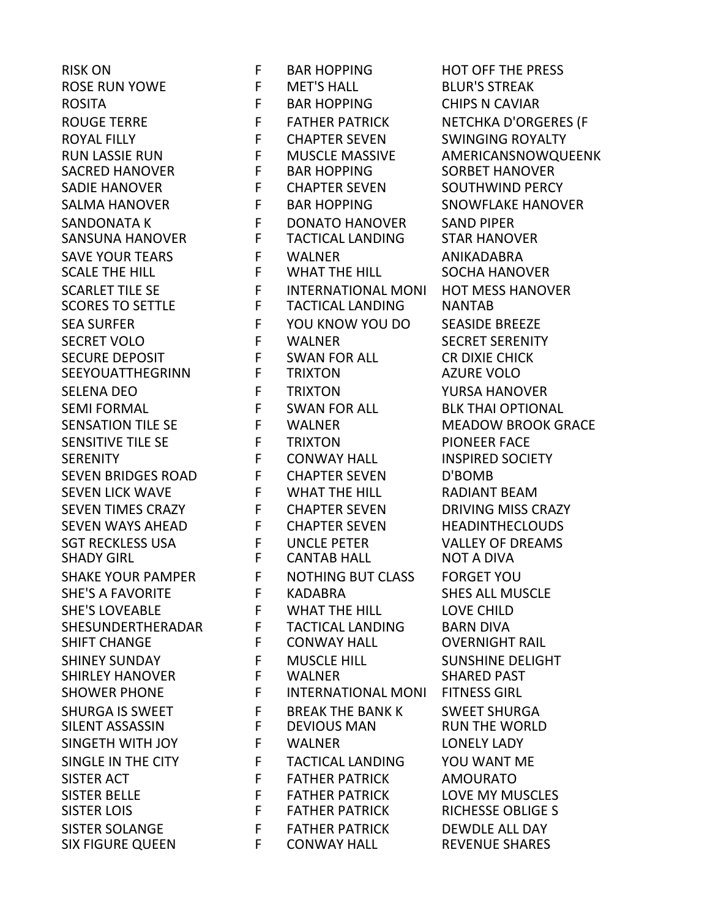SACRED HANOVER SIX FIGURE QUEEN F CONWAY HALL REVENUE SHARES

RISK ON F BAR HOPPING HOT OFF THE PRESS ROSE RUN YOWE **F** MET'S HALL BLUR'S STREAK ROSITA F BAR HOPPING CHIPS N CAVIAR ROUGE TERRE FRITHER PATRICK NETCHKA D'ORGERES (F ROYAL FILLY **FILLY FILL ACCOMB FILLY CHAPTER SEVEN** SWINGING ROYALTY RUN LASSIE RUN F MUSCLE MASSIVE AMERICANSNOWQUEENK<br>SACRED HANOVER FBAR HOPPING SORBET HANOVER SADIE HANOVER F CHAPTER SEVEN SOUTHWIND PERCY SALMA HANOVER
SALMA HANOVER
F
BAR HOPPING
SNOWFLAKE HANOVER SANDONATA K F DONATO HANOVER SAND PIPER SANSUNA HANOVER F TACTICAL LANDING STAR HANOVER SAVE YOUR TEARS FWALNER FRAMER ANIKADABRA<br>SCALE THE HILL SOCHA HANG SCALE THE HILL **FULL FULL SOCHA HANOVER** SCARLET TILE SE F INTERNATIONAL MONI HOT MESS HANOVER<br>SCORES TO SETTLE F TACTICAL LANDING NANTAB TACTICAL LANDING NANTAB SEA SURFER F YOU KNOW YOU DO SEASIDE BREEZE SECRET VOLO F WALNER SECRET SERENITY SECURE DEPOSIT F SWAN FOR ALL CR DIXIE CHICK SEEYOUATTHEGRINN F TRIXTON AZURE VOLO SELENA DEO F TRIXTON TRIXTON YURSA HANOVER SEMI FORMAL F SWAN FOR ALL BLK THAI OPTIONAL SENSATION TILE SE FWALNER MEADOW BROOK GRACE SENSITIVE TILE SE FTRIXTON FTRIXTON PIONEER FACE SERENITY **F** CONWAY HALL INSPIRED SOCIETY SEVEN BRIDGES ROAD F CHAPTER SEVEN D'BOMB SEVEN LICK WAVE FUNHAT THE HILL RADIANT BEAM SEVEN TIMES CRAZY THE CHAPTER SEVEN THRIVING MISS CRAZY SEVEN WAYS AHEAD F CHAPTER SEVEN HEADINTHECLOUDS SGT RECKLESS USA F UNCLE PETER VALLEY OF DREAMS SHADY GIRL F CANTAB HALL NOT A DIVA SHAKE YOUR PAMPER F NOTHING BUT CLASS FORGET YOU SHE'S A FAVORITE FRADABRA SHES ALL MUSCLE SHE'S LOVEABLE **F** WHAT THE HILL LOVE CHILD SHESUNDERTHERADAR F TACTICAL LANDING BARN DIVA SHIFT CHANGE **F** CONWAY HALL **CONG CONGERVIGHT RAIL** SHINEY SUNDAY F MUSCLE HILL SUNSHINE DELIGHT SHIRLEY HANOVER F WALNER SHARED PAST SHOWER PHONE F INTERNATIONAL MONI FITNESS GIRL SHURGA IS SWEET F BREAK THE BANK K SWEET SHURGA SINGETH WITH JOY **F** WALNER **CONELY LADY** SINGLE IN THE CITY **FULL TACTICAL LANDING STOU WANT ME** SISTER ACT **FILL STATHER PATRICK AMOURATO** SISTER BELLE F FATHER PATRICK LOVE MY MUSCLES SISTER LOIS F FATHER PATRICK RICHESSE OBLIGE S SISTER SOLANGE F FATHER PATRICK DEWDLE ALL DAY

RUN THE WORLD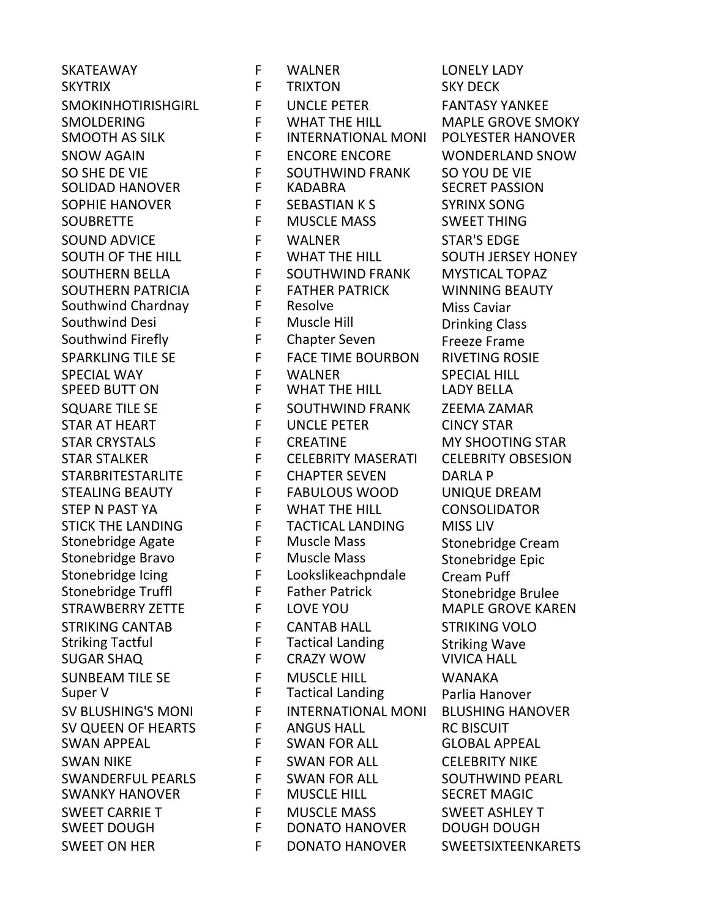SKATEAWAY F WALNER LONELY LADY SKYTRIX F TRIXTON SKY DECK SMOKINHOTIRISHGIRL F UNCLE PETER FANTASY YANKEE SMOLDERING F WHAT THE HILL MAPLE GROVE SMOKY SMOOTH AS SILK F INTERNATIONAL MONI POLYESTER HANOVER SNOW AGAIN F ENCORE ENCORE WONDERLAND SNOW SO SHE DE VIE F SOUTHWIND FRANK SO YOU DE VIE SOLIDAD HANOVER F KADABRA SECRET PASSION SOPHIE HANOVER
SOPHIE HANOVER
SEBASTIAN K S
SYRINX SONG SOUBRETTE **F** MUSCLE MASS SWEET THING SOUND ADVICE F WALNER STAR'S EDGE SOUTH OF THE HILL F WHAT THE HILL SOUTH JERSEY HONEY SOUTHERN BELLA F SOUTHWIND FRANK MYSTICAL TOPAZ SOUTHERN PATRICIA F FATHER PATRICK WINNING BEAUTY<br>Southwind Chardnay F Resolve Miss Caviar Southwind Chardnay F Resolve F Resolve Miss Caviar<br>Southwind Desi F Muscle Hill **Miss Clare Communis** Cla Southwind Desi F Muscle Hill Drinking Class Southwind Firefly **F** Chapter Seven Freeze Frame<br>SPARKLING TILE SE FFREE TIME BOURBON RIVETING ROS SPARKLING TILE SE FACE TIME BOURBON RIVETING ROSIE SPECIAL WAY F WALNER SPECIAL HILL WHAT THE HILL SQUARE TILE SE FUSIOUTHWIND FRANK ZEEMA ZAMAR STAR AT HEART FUNCLE PETER CINCY STAR STAR CRYSTALS F CREATINE THE MY SHOOTING STAR STAR STALKER F CELEBRITY MASERATI CELEBRITY OBSESION STARBRITESTARLITE F CHAPTER SEVEN DARLA P STEALING BEAUTY **FRABULOUS WOOD UNIQUE DREAM** STEP N PAST YA F WHAT THE HILL CONSOLIDATOR STICK THE LANDING F TACTICAL LANDING MISS LIV<br>Stonebridge Agate F Muscle Mass Stonebric Stonebridge Agate F Muscle Mass Stonebridge Cream Stonebridge Bravo F Muscle Mass Stonebridge Epic Stonebridge Icing F Lookslikeachpndale Cream Puff F Father Patrick Stonebridge Brulee<br>F LOVE YOU MAPLE GROVE KAR STRAWBERRY ZETTE F LOVE YOU MAPLE GROVE KAREN STRIKING CANTAB F CANTAB HALL STRIKING VOLO Striking Tactful **F** Tactical Landing Striking Wave<br>SUGAR SHAO F CRAZY WOW SUGAR HALL SUGAR SHAQ F CRAZY WOW VIVICA HALL SUNBEAM TILE SE F MUSCLE HILL<br>Super V<br>F Tactical Landing Parlia Har Super V F Tactical Landing Parlia Hanover SV BLUSHING'S MONI F INTERNATIONAL MONI BLUSHING HANOVER SV QUEEN OF HEARTS F ANGUS HALL RC BISCUIT SWAN APPEAL F SWAN FOR ALL GLOBAL APPEAL SWAN NIKE F SWAN FOR ALL **CELEBRITY NIKE** SWANDERFUL PEARLS F SWAN FOR ALL SOUTHWIND PEARL SWANKY HANOVER F MUSCLE HILL SECRET MAGIC SWEET CARRIE T F MUSCLE MASS SWEET ASHLEY T SWEET DOUGH F DONATO HANOVER DOUGH DOUGH SWEET ON HER F DONATO HANOVER SWEETSIXTEENKARETS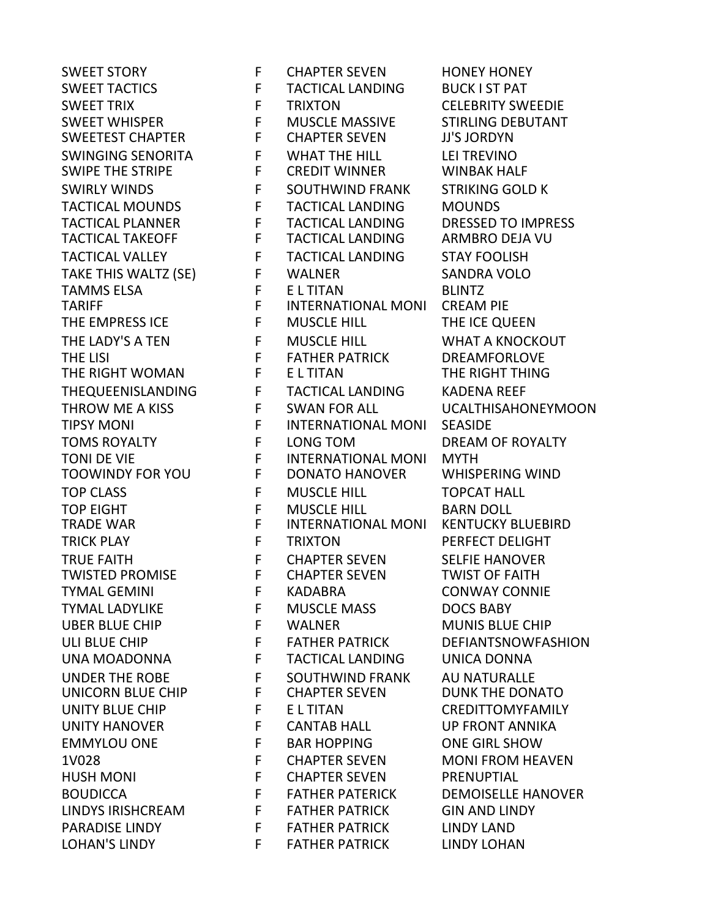SWIPE THE STRIPE TWISTED PROMISE F CHAPTER SEVEN

SWEET STORY FURTHER SEVEN HONEY HONEY SWEET TACTICS F TACTICAL LANDING BUCK I ST PAT SWEET TRIX F TRIXTON CELEBRITY SWEEDIE SWEET WHISPER F MUSCLE MASSIVE STIRLING DEBUTANT SWEETEST CHAPTER F CHAPTER SEVEN JJ'S JORDYN SWINGING SENORITA F WHAT THE HILL LEI TREVINO SWIRLY WINDS FRIME F SOUTHWIND FRANK STRIKING GOLD K TACTICAL MOUNDS F TACTICAL LANDING MOUNDS TACTICAL PLANNER F TACTICAL LANDING DRESSED TO IMPRESS TACTICAL TAKEOFF F TACTICAL LANDING ARMBRO DEJA VU TACTICAL VALLEY F TACTICAL LANDING STAY FOOLISH TAKE THIS WALTZ (SE) F WALNER SANDRA VOLO TAMMS ELSA F E L TITAN BLINTZ INTERNATIONAL MONI THE EMPRESS ICE **F** MUSCLE HILL **THE ICE QUEEN** THE LADY'S A TEN FRIMUSCLE HILL THE LADY'S A TEN FRIMUSCLE HILL THE LISING A TEN FRIME RATHER PATRICK THE DREAMFORLOVE THE LISI F FATHER PATRICK DREAMFORLOVE THE RIGHT WOMAN F E L TITAN THE RIGHT THING THEQUEENISLANDING F TACTICAL LANDING KADENA REEF THROW ME A KISS FUG SWAN FOR ALL THROW ME A KISS TIPSY MONI **F** INTERNATIONAL MONI SEASIDE TOMS ROYALTY F LONG TOM DREAM OF ROYALTY TONI DE VIE F INTERNATIONAL MONI MYTH TOOWINDY FOR YOU F DONATO HANOVER WHISPERING WIND TOP CLASS **F** MUSCLE HILL **TOPCAT HALL** TOP EIGHT F MUSCLE HILL BARN DOLL TRADE WAR F INTERNATIONAL MONI KENTUCKY BLUEBIRD TRICK PLAY F TRIXTON PERFECT DELIGHT TRUE FAITH F CHAPTER SEVEN SELFIE HANOVER TYMAL GEMINI F KADABRA CONWAY CONNIE TYMAL LADYLIKE F MUSCLE MASS DOCS BABY UBER BLUE CHIP F WALNER MUNIS BLUE CHIP ULI BLUE CHIP FIND THE FATHER PATRICK THE PATRICK DEFIANTSNOWFASHION UNA MOADONNA F TACTICAL LANDING UNICA DONNA UNDER THE ROBE THE SOUTHWIND FRANK AU NATURALLE<br>UNICORN BLUE CHIP THE CHAPTER SEVEN DUNK THE DON UNICORN BLUE CHIP F CHAPTER SEVEN DUNK THE DONATO UNITY BLUE CHIP F E L TITAN CREDITTOMYFAMILY UNITY HANOVER F CANTAB HALL UP FRONT ANNIKA EMMYLOU ONE F BAR HOPPING ONE GIRL SHOW 1V028 F CHAPTER SEVEN MONI FROM HEAVEN HUSH MONI F CHAPTER SEVEN PRENUPTIAL BOUDICCA F FATHER PATERICK DEMOISELLE HANOVER LINDYS IRISHCREAM F FATHER PATRICK GIN AND LINDY PARADISE LINDY FF FATHER PATRICK LINDY LAND LOHAN'S LINDY F FATHER PATRICK LINDY LOHAN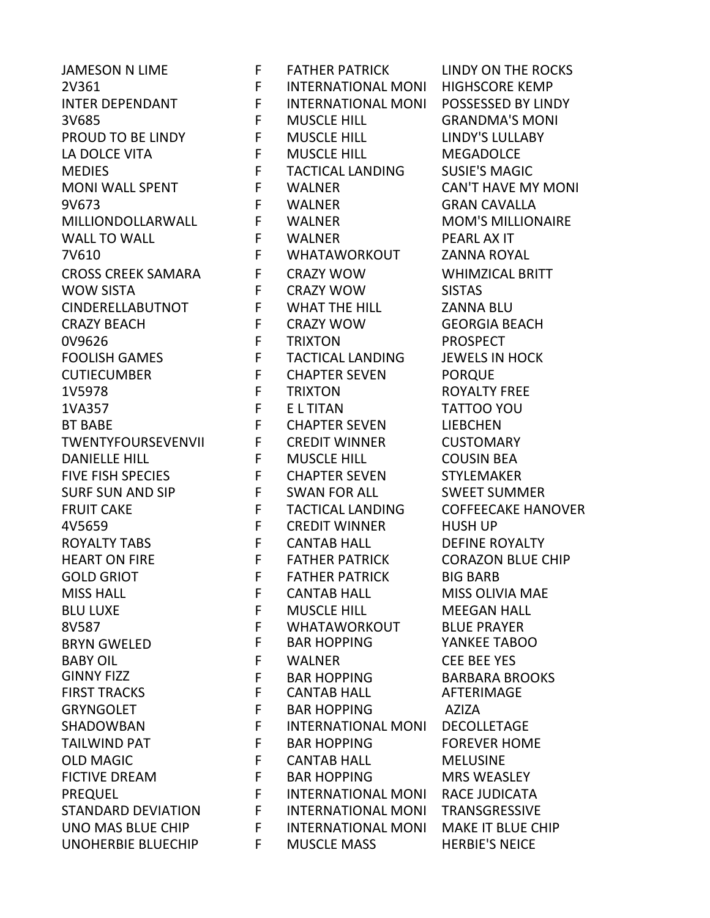JAMESON N LIME **FRATHER PATRICK LINDY ON THE ROCKS** 2V361 F INTERNATIONAL MONI HIGHSCORE KEMP INTER DEPENDANT F INTERNATIONAL MONI POSSESSED BY LINDY 3V685 F MUSCLE HILL GRANDMA'S MONI PROUD TO BE LINDY F MUSCLE HILL FROUD TO BE LINDY'S LULLABY LA DOLCE VITA F MUSCLE HILL MEGADOLCE MEDIES F TACTICAL LANDING SUSIE'S MAGIC MONI WALL SPENT F WALNER CAN'T HAVE MY MONI 9V673 F WALNER GRAN CAVALLA MILLIONDOLLARWALL F WALNER MOM'S MILLIONAIRE WALL TO WALL FUNALNER FILM PEARL AX IT 7V610 F WHATAWORKOUT ZANNA ROYAL CROSS CREEK SAMARA F CRAZY WOW WHIMZICAL BRITT WOW SISTA F CRAZY WOW SISTAS CINDERELLABUTNOT F WHAT THE HILL ZANNA BLU CRAZY BEACH F CRAZY WOW GEORGIA BEACH 0V9626 F TRIXTON PROSPECT FOOLISH GAMES F TACTICAL LANDING JEWELS IN HOCK CUTIECUMBER F CHAPTER SEVEN PORQUE 1V5978 F TRIXTON ROYALTY FREE 1VA357 F E L TITAN TATTOO YOU BT BABE F CHAPTER SEVEN LIEBCHEN TWENTYFOURSEVENVII F CREDIT WINNER CUSTOMARY DANIELLE HILL F MUSCLE HILL COUSIN BEA FIVE FISH SPECIES F CHAPTER SEVEN STYLEMAKER SURF SUN AND SIP F SWAN FOR ALL SWEET SUMMER FRUIT CAKE FIND TACTICAL LANDING COFFEECAKE HANOVER 4V5659 F CREDIT WINNER HUSH UP ROYALTY TABS F CANTAB HALL DEFINE ROYALTY HEART ON FIRE **FRITHER PATRICK CORAZON BLUE CHIP** GOLD GRIOT F FATHER PATRICK BIG BARB MISS HALL F CANTAB HALL MISS OLIVIA MAE BLU LUXE F MUSCLE HILL MEEGAN HALL 8V587 F WHATAWORKOUT BLUE PRAYER BRYN GWELED F BAR HOPPING YANKEE TABOO BABY OIL **F** WALNER CEE BEE YES GINNY FIZZ F BAR HOPPING BARBARA BROOKS FIRST TRACKS FRIELD THE CANTAB HALL THAT AFTERIMAGE GRYNGOLET F BAR HOPPING AZIZA SHADOWBAN F INTERNATIONAL MONI DECOLLETAGE TAILWIND PAT **F** BAR HOPPING FOREVER HOME OLD MAGIC F CANTAB HALL MELUSINE FICTIVE DREAM F BAR HOPPING MRS WEASLEY PREQUEL F INTERNATIONAL MONI RACE JUDICATA STANDARD DEVIATION F INTERNATIONAL MONI TRANSGRESSIVE UNO MAS BLUE CHIP F INTERNATIONAL MONI MAKE IT BLUE CHIP UNOHERBIE BLUECHIP F MUSCLE MASS HERBIE'S NEICE